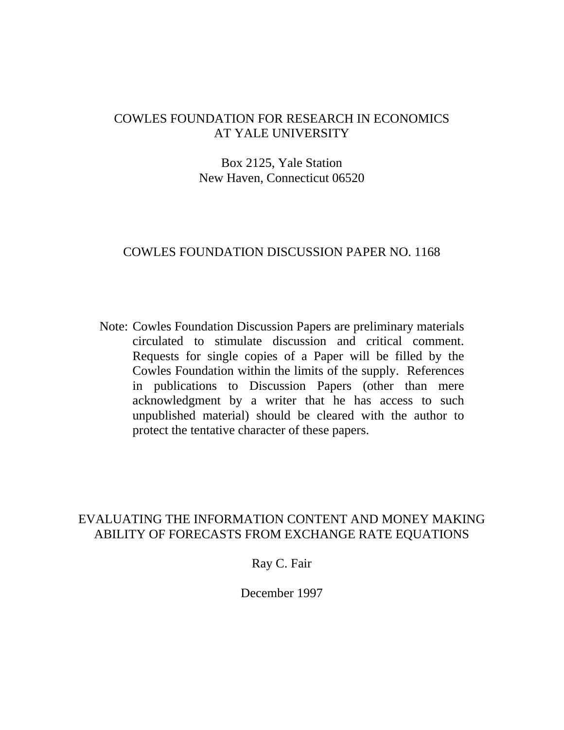# COWLES FOUNDATION FOR RESEARCH IN ECONOMICS AT YALE UNIVERSITY

# Box 2125, Yale Station New Haven, Connecticut 06520

### COWLES FOUNDATION DISCUSSION PAPER NO. 1168

Note: Cowles Foundation Discussion Papers are preliminary materials circulated to stimulate discussion and critical comment. Requests for single copies of a Paper will be filled by the Cowles Foundation within the limits of the supply. References in publications to Discussion Papers (other than mere acknowledgment by a writer that he has access to such unpublished material) should be cleared with the author to protect the tentative character of these papers.

# EVALUATING THE INFORMATION CONTENT AND MONEY MAKING ABILITY OF FORECASTS FROM EXCHANGE RATE EQUATIONS

# Ray C. Fair

December 1997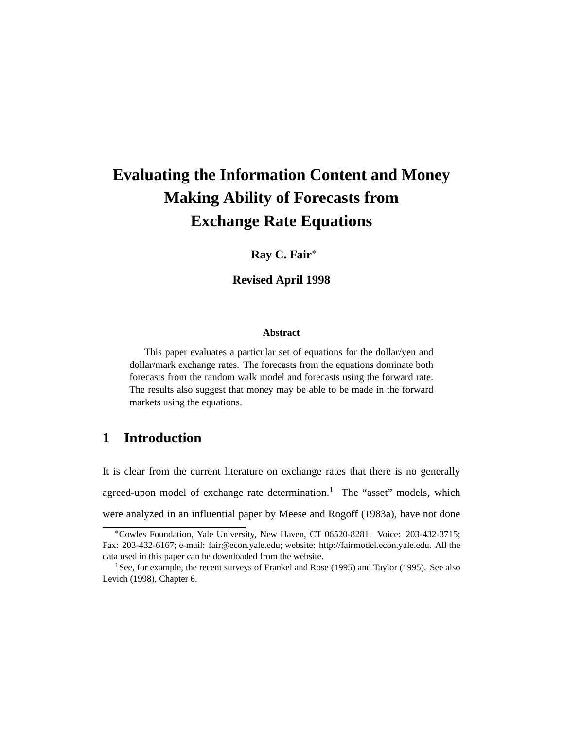# **Evaluating the Information Content and Money Making Ability of Forecasts from Exchange Rate Equations**

### **Ray C. Fair**∗

### **Revised April 1998**

#### **Abstract**

This paper evaluates a particular set of equations for the dollar/yen and dollar/mark exchange rates. The forecasts from the equations dominate both forecasts from the random walk model and forecasts using the forward rate. The results also suggest that money may be able to be made in the forward markets using the equations.

# **1 Introduction**

It is clear from the current literature on exchange rates that there is no generally agreed-upon model of exchange rate determination.<sup>1</sup> The "asset" models, which were analyzed in an influential paper by Meese and Rogoff (1983a), have not done

<sup>∗</sup>Cowles Foundation, Yale University, New Haven, CT 06520-8281. Voice: 203-432-3715; Fax: 203-432-6167; e-mail: fair@econ.yale.edu; website: http://fairmodel.econ.yale.edu. All the data used in this paper can be downloaded from the website.

<sup>&</sup>lt;sup>1</sup>See, for example, the recent surveys of Frankel and Rose (1995) and Taylor (1995). See also Levich (1998), Chapter 6.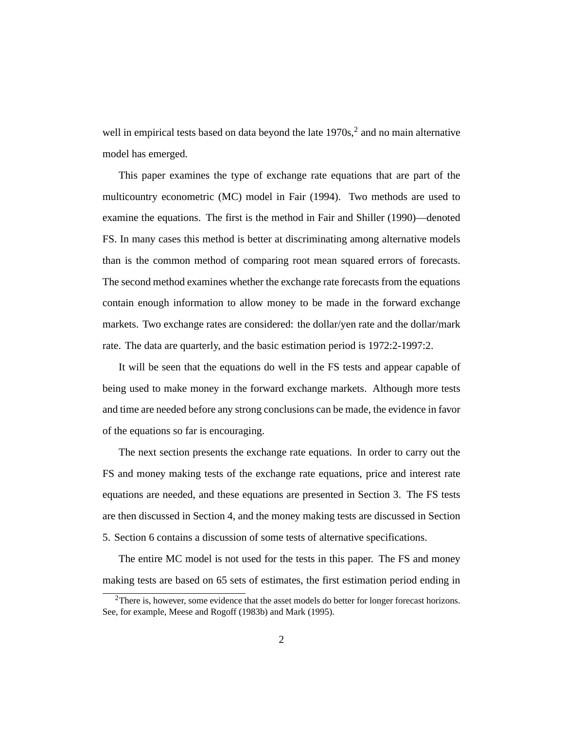well in empirical tests based on data beyond the late  $1970s<sup>2</sup>$  and no main alternative model has emerged.

This paper examines the type of exchange rate equations that are part of the multicountry econometric (MC) model in Fair (1994). Two methods are used to examine the equations. The first is the method in Fair and Shiller (1990)—denoted FS. In many cases this method is better at discriminating among alternative models than is the common method of comparing root mean squared errors of forecasts. The second method examines whether the exchange rate forecasts from the equations contain enough information to allow money to be made in the forward exchange markets. Two exchange rates are considered: the dollar/yen rate and the dollar/mark rate. The data are quarterly, and the basic estimation period is 1972:2-1997:2.

It will be seen that the equations do well in the FS tests and appear capable of being used to make money in the forward exchange markets. Although more tests and time are needed before any strong conclusions can be made, the evidence in favor of the equations so far is encouraging.

The next section presents the exchange rate equations. In order to carry out the FS and money making tests of the exchange rate equations, price and interest rate equations are needed, and these equations are presented in Section 3. The FS tests are then discussed in Section 4, and the money making tests are discussed in Section 5. Section 6 contains a discussion of some tests of alternative specifications.

The entire MC model is not used for the tests in this paper. The FS and money making tests are based on 65 sets of estimates, the first estimation period ending in

 $2$ There is, however, some evidence that the asset models do better for longer forecast horizons. See, for example, Meese and Rogoff (1983b) and Mark (1995).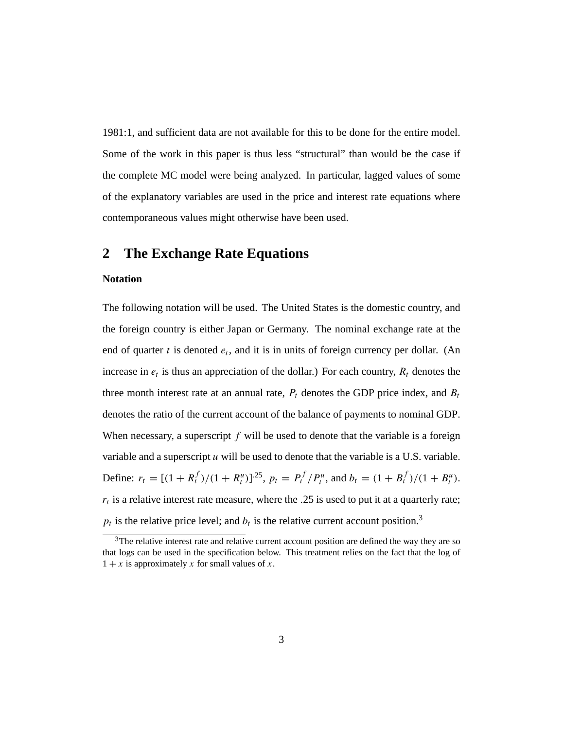1981:1, and sufficient data are not available for this to be done for the entire model. Some of the work in this paper is thus less "structural" than would be the case if the complete MC model were being analyzed. In particular, lagged values of some of the explanatory variables are used in the price and interest rate equations where contemporaneous values might otherwise have been used.

### **2 The Exchange Rate Equations**

#### **Notation**

The following notation will be used. The United States is the domestic country, and the foreign country is either Japan or Germany. The nominal exchange rate at the end of quarter *t* is denoted  $e_t$ , and it is in units of foreign currency per dollar. (An increase in  $e_t$  is thus an appreciation of the dollar.) For each country,  $R_t$  denotes the three month interest rate at an annual rate,  $P_t$  denotes the GDP price index, and  $B_t$ denotes the ratio of the current account of the balance of payments to nominal GDP. When necessary, a superscript *f* will be used to denote that the variable is a foreign variable and a superscript  $u$  will be used to denote that the variable is a U.S. variable. Define:  $r_t = [(1 + R_t^f)/(1 + R_t^u)]^{25}$ ,  $p_t = P_t^f/P_t^u$ , and  $b_t = (1 + B_t^f)/(1 + B_t^u)$ . *rt* is a relative interest rate measure, where the *.*25 is used to put it at a quarterly rate;  $p_t$  is the relative price level; and  $b_t$  is the relative current account position.<sup>3</sup>

<sup>&</sup>lt;sup>3</sup>The relative interest rate and relative current account position are defined the way they are so that logs can be used in the specification below. This treatment relies on the fact that the log of  $1 + x$  is approximately x for small values of x.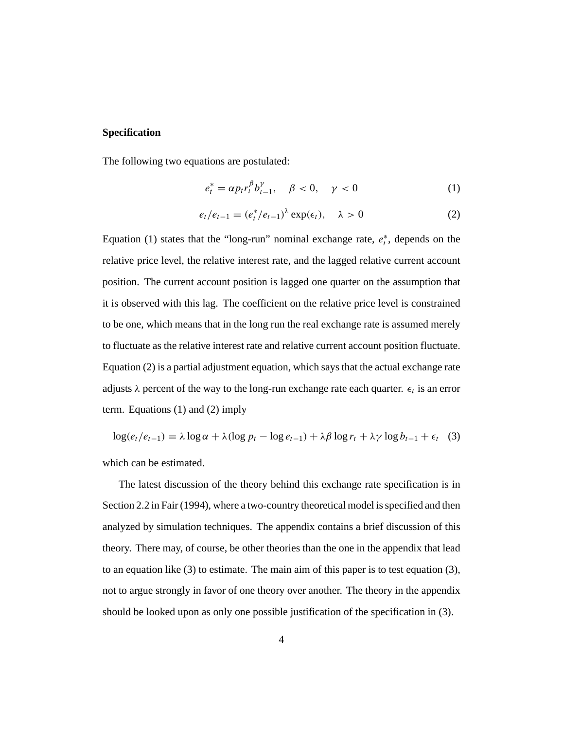### **Specification**

The following two equations are postulated:

$$
e_t^* = \alpha p_t r_t^{\beta} b_{t-1}^{\gamma}, \quad \beta < 0, \quad \gamma < 0 \tag{1}
$$

$$
e_t/e_{t-1} = (e_t^*/e_{t-1})^{\lambda} \exp(\epsilon_t), \quad \lambda > 0 \tag{2}
$$

Equation (1) states that the "long-run" nominal exchange rate,  $e_t^*$ , depends on the relative price level, the relative interest rate, and the lagged relative current account position. The current account position is lagged one quarter on the assumption that it is observed with this lag. The coefficient on the relative price level is constrained to be one, which means that in the long run the real exchange rate is assumed merely to fluctuate as the relative interest rate and relative current account position fluctuate. Equation (2) is a partial adjustment equation, which says that the actual exchange rate adjusts  $\lambda$  percent of the way to the long-run exchange rate each quarter.  $\epsilon_t$  is an error term. Equations (1) and (2) imply

$$
\log(e_t/e_{t-1}) = \lambda \log \alpha + \lambda (\log p_t - \log e_{t-1}) + \lambda \beta \log r_t + \lambda \gamma \log b_{t-1} + \epsilon_t \quad (3)
$$

which can be estimated.

The latest discussion of the theory behind this exchange rate specification is in Section 2.2 in Fair (1994), where a two-country theoretical model is specified and then analyzed by simulation techniques. The appendix contains a brief discussion of this theory. There may, of course, be other theories than the one in the appendix that lead to an equation like (3) to estimate. The main aim of this paper is to test equation (3), not to argue strongly in favor of one theory over another. The theory in the appendix should be looked upon as only one possible justification of the specification in (3).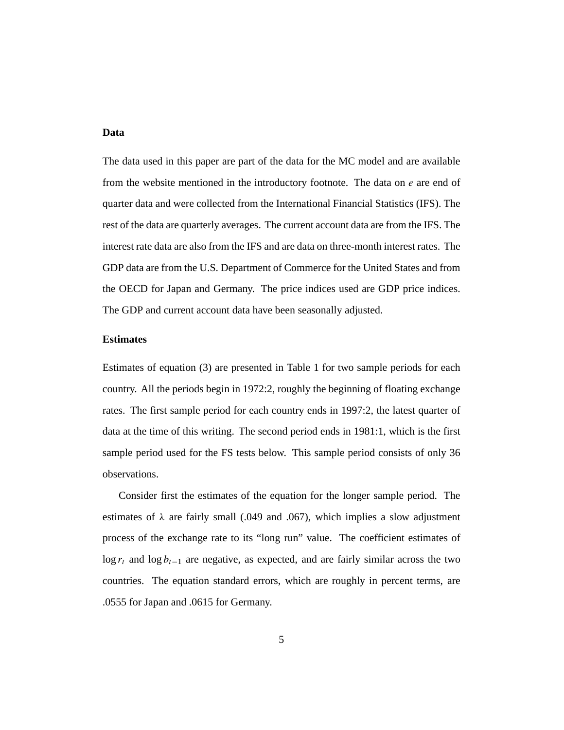### **Data**

The data used in this paper are part of the data for the MC model and are available from the website mentioned in the introductory footnote. The data on *e* are end of quarter data and were collected from the International Financial Statistics (IFS). The rest of the data are quarterly averages. The current account data are from the IFS. The interest rate data are also from the IFS and are data on three-month interest rates. The GDP data are from the U.S. Department of Commerce for the United States and from the OECD for Japan and Germany. The price indices used are GDP price indices. The GDP and current account data have been seasonally adjusted.

### **Estimates**

Estimates of equation (3) are presented in Table 1 for two sample periods for each country. All the periods begin in 1972:2, roughly the beginning of floating exchange rates. The first sample period for each country ends in 1997:2, the latest quarter of data at the time of this writing. The second period ends in 1981:1, which is the first sample period used for the FS tests below. This sample period consists of only 36 observations.

Consider first the estimates of the equation for the longer sample period. The estimates of  $\lambda$  are fairly small (.049 and .067), which implies a slow adjustment process of the exchange rate to its "long run" value. The coefficient estimates of log *rt* and log *bt*−<sup>1</sup> are negative, as expected, and are fairly similar across the two countries. The equation standard errors, which are roughly in percent terms, are .0555 for Japan and .0615 for Germany.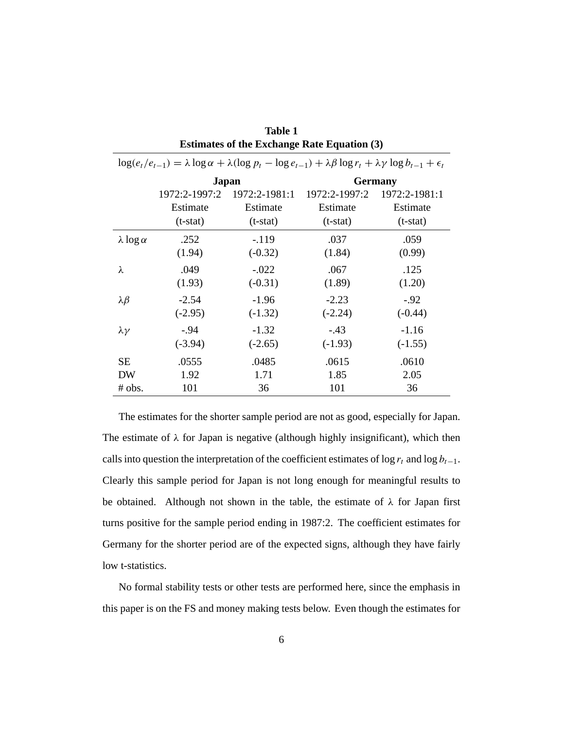| $\log(e_t/e_{t-1}) = \lambda \log \alpha + \lambda (\log p_t - \log e_{t-1}) + \lambda \beta \log r_t + \lambda \gamma \log b_{t-1} + \epsilon_t$ |               |               |                |               |  |  |
|---------------------------------------------------------------------------------------------------------------------------------------------------|---------------|---------------|----------------|---------------|--|--|
|                                                                                                                                                   |               | Japan         | <b>Germany</b> |               |  |  |
|                                                                                                                                                   | 1972:2-1997:2 | 1972:2-1981:1 | 1972:2-1997:2  | 1972:2-1981:1 |  |  |
|                                                                                                                                                   | Estimate      | Estimate      | Estimate       | Estimate      |  |  |
|                                                                                                                                                   | $(t-stat)$    | $(t-stat)$    | $(t-stat)$     | $(t-stat)$    |  |  |
| $\lambda \log \alpha$                                                                                                                             | .252          | $-.119$       | .037           | .059          |  |  |
|                                                                                                                                                   | (1.94)        | $(-0.32)$     | (1.84)         | (0.99)        |  |  |
| λ                                                                                                                                                 | .049          | $-.022$       | .067           | .125          |  |  |
|                                                                                                                                                   | (1.93)        | $(-0.31)$     | (1.89)         | (1.20)        |  |  |
| $\lambda \beta$                                                                                                                                   | $-2.54$       | $-1.96$       | $-2.23$        | $-.92$        |  |  |
|                                                                                                                                                   | $(-2.95)$     | $(-1.32)$     | $(-2.24)$      | $(-0.44)$     |  |  |
| $\lambda \gamma$                                                                                                                                  | $-.94$        | $-1.32$       | $-.43$         | $-1.16$       |  |  |
|                                                                                                                                                   | $(-3.94)$     | $(-2.65)$     | $(-1.93)$      | $(-1.55)$     |  |  |
| <b>SE</b>                                                                                                                                         | .0555         | .0485         | .0615          | .0610         |  |  |
| <b>DW</b>                                                                                                                                         | 1.92          | 1.71          | 1.85           | 2.05          |  |  |
| # obs.                                                                                                                                            | 101           | 36            | 101            | 36            |  |  |

| Table 1                                            |  |
|----------------------------------------------------|--|
| <b>Estimates of the Exchange Rate Equation (3)</b> |  |

The estimates for the shorter sample period are not as good, especially for Japan. The estimate of *λ* for Japan is negative (although highly insignificant), which then calls into question the interpretation of the coefficient estimates of  $\log r_t$  and  $\log b_{t-1}$ . Clearly this sample period for Japan is not long enough for meaningful results to be obtained. Although not shown in the table, the estimate of *λ* for Japan first turns positive for the sample period ending in 1987:2. The coefficient estimates for Germany for the shorter period are of the expected signs, although they have fairly low t-statistics.

No formal stability tests or other tests are performed here, since the emphasis in this paper is on the FS and money making tests below. Even though the estimates for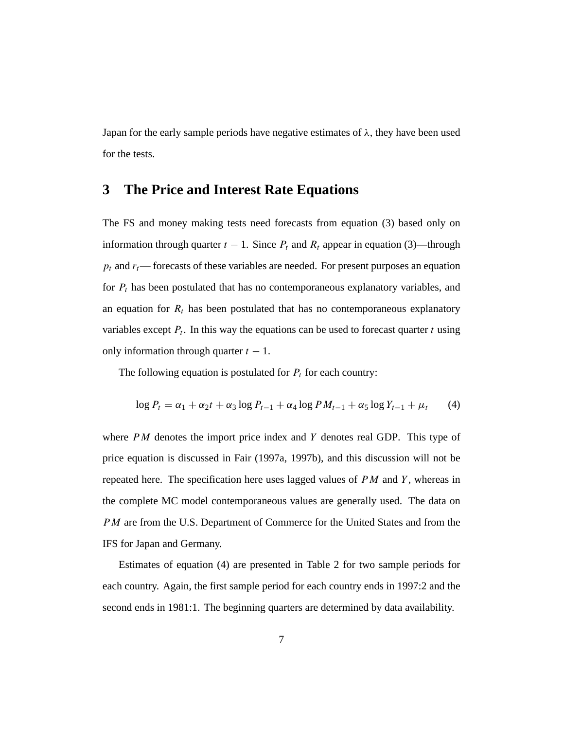Japan for the early sample periods have negative estimates of  $\lambda$ , they have been used for the tests.

### **3 The Price and Interest Rate Equations**

The FS and money making tests need forecasts from equation (3) based only on information through quarter  $t - 1$ . Since  $P_t$  and  $R_t$  appear in equation (3)—through  $p_t$  and  $r_t$ — forecasts of these variables are needed. For present purposes an equation for *Pt* has been postulated that has no contemporaneous explanatory variables, and an equation for  $R_t$  has been postulated that has no contemporaneous explanatory variables except  $P_t$ . In this way the equations can be used to forecast quarter  $t$  using only information through quarter  $t - 1$ .

The following equation is postulated for  $P_t$  for each country:

$$
\log P_t = \alpha_1 + \alpha_2 t + \alpha_3 \log P_{t-1} + \alpha_4 \log PM_{t-1} + \alpha_5 \log Y_{t-1} + \mu_t \tag{4}
$$

where *PM* denotes the import price index and *Y* denotes real GDP. This type of price equation is discussed in Fair (1997a, 1997b), and this discussion will not be repeated here. The specification here uses lagged values of *PM* and *Y* , whereas in the complete MC model contemporaneous values are generally used. The data on *PM* are from the U.S. Department of Commerce for the United States and from the IFS for Japan and Germany.

Estimates of equation (4) are presented in Table 2 for two sample periods for each country. Again, the first sample period for each country ends in 1997:2 and the second ends in 1981:1. The beginning quarters are determined by data availability.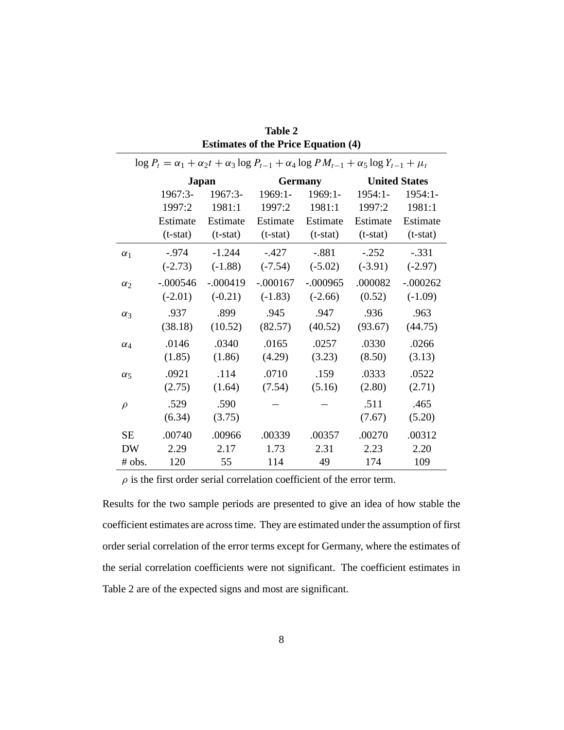| $\log P_t = \alpha_1 + \alpha_2 t + \alpha_3 \log P_{t-1} + \alpha_4 \log PM_{t-1} + \alpha_5 \log Y_{t-1} + \mu_t$ |                    |            |            |                |                      |            |  |  |
|---------------------------------------------------------------------------------------------------------------------|--------------------|------------|------------|----------------|----------------------|------------|--|--|
|                                                                                                                     | Japan              |            |            | <b>Germany</b> | <b>United States</b> |            |  |  |
|                                                                                                                     | 1967:3-<br>1967:3- |            | 1969:1-    | 1969:1-        | $1954:1-$            | $1954:1-$  |  |  |
|                                                                                                                     | 1997:2             | 1981:1     | 1997:2     | 1981:1         | 1997:2               | 1981:1     |  |  |
|                                                                                                                     | Estimate           | Estimate   | Estimate   | Estimate       | Estimate             | Estimate   |  |  |
|                                                                                                                     | $(t-stat)$         | $(t-stat)$ | $(t-stat)$ | $(t-stat)$     | $(t-stat)$           | $(t-stat)$ |  |  |
| $\alpha_1$                                                                                                          | $-.974$            | $-1.244$   | $-.427$    | $-.881$        | $-.252$              | $-.331$    |  |  |
|                                                                                                                     | $(-2.73)$          | $(-1.88)$  | $(-7.54)$  | $(-5.02)$      | $(-3.91)$            | $(-2.97)$  |  |  |
| $\alpha_2$                                                                                                          | $-.000546$         | $-.000419$ | $-.000167$ | $-.000965$     | .000082              | $-.000262$ |  |  |
|                                                                                                                     | $(-2.01)$          | $(-0.21)$  | $(-1.83)$  | $(-2.66)$      | (0.52)               | $(-1.09)$  |  |  |
| $\alpha_3$                                                                                                          | .937               | .899       | .945       | .947           | .936                 | .963       |  |  |
|                                                                                                                     | (38.18)            | (10.52)    | (82.57)    | (40.52)        | (93.67)              | (44.75)    |  |  |
| $\alpha_4$                                                                                                          | .0146              | .0340      | .0165      | .0257          | .0330                | .0266      |  |  |
|                                                                                                                     | (1.85)             | (1.86)     | (4.29)     | (3.23)         | (8.50)               | (3.13)     |  |  |
| $\alpha_{5}$                                                                                                        | .0921              | .114       | .0710      | .159           | .0333                | .0522      |  |  |
|                                                                                                                     | (2.75)             | (1.64)     | (7.54)     | (5.16)         | (2.80)               | (2.71)     |  |  |
| $\rho$                                                                                                              | .529               | .590       |            |                | .511                 | .465       |  |  |
|                                                                                                                     | (6.34)             | (3.75)     |            |                | (7.67)               | (5.20)     |  |  |
| <b>SE</b>                                                                                                           | .00740             | .00966     | .00339     | .00357         | .00270               | .00312     |  |  |
| <b>DW</b>                                                                                                           | 2.29               | 2.17       | 1.73       | 2.31           | 2.23                 | 2.20       |  |  |
| # obs.                                                                                                              | 120                | 55         | 114        | 49             | 174                  | 109        |  |  |

| <b>Table 2</b>                             |
|--------------------------------------------|
| <b>Estimates of the Price Equation (4)</b> |

 $\rho$  is the first order serial correlation coefficient of the error term.

Results for the two sample periods are presented to give an idea of how stable the coefficient estimates are across time. They are estimated under the assumption of first order serial correlation of the error terms except for Germany, where the estimates of the serial correlation coefficients were not significant. The coefficient estimates in Table 2 are of the expected signs and most are significant.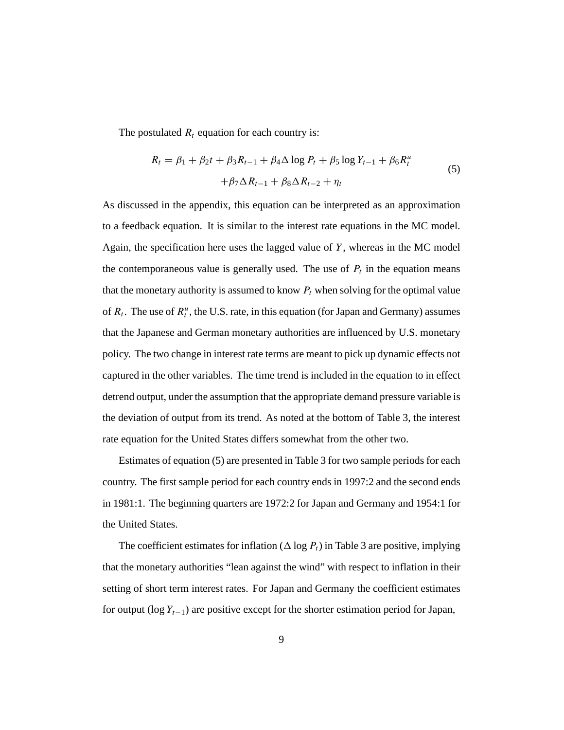The postulated  $R_t$  equation for each country is:

$$
R_{t} = \beta_{1} + \beta_{2}t + \beta_{3}R_{t-1} + \beta_{4}\Delta \log P_{t} + \beta_{5} \log Y_{t-1} + \beta_{6}R_{t}^{u}
$$
  
+
$$
\beta_{7}\Delta R_{t-1} + \beta_{8}\Delta R_{t-2} + \eta_{t}
$$
 (5)

As discussed in the appendix, this equation can be interpreted as an approximation to a feedback equation. It is similar to the interest rate equations in the MC model. Again, the specification here uses the lagged value of *Y* , whereas in the MC model the contemporaneous value is generally used. The use of  $P_t$  in the equation means that the monetary authority is assumed to know  $P_t$  when solving for the optimal value of  $R_t$ . The use of  $R_t^u$ , the U.S. rate, in this equation (for Japan and Germany) assumes that the Japanese and German monetary authorities are influenced by U.S. monetary policy. The two change in interest rate terms are meant to pick up dynamic effects not captured in the other variables. The time trend is included in the equation to in effect detrend output, under the assumption that the appropriate demand pressure variable is the deviation of output from its trend. As noted at the bottom of Table 3, the interest rate equation for the United States differs somewhat from the other two.

Estimates of equation (5) are presented in Table 3 for two sample periods for each country. The first sample period for each country ends in 1997:2 and the second ends in 1981:1. The beginning quarters are 1972:2 for Japan and Germany and 1954:1 for the United States.

The coefficient estimates for inflation ( $\Delta \log P_t$ ) in Table 3 are positive, implying that the monetary authorities "lean against the wind" with respect to inflation in their setting of short term interest rates. For Japan and Germany the coefficient estimates for output (log *Yt*−1) are positive except for the shorter estimation period for Japan,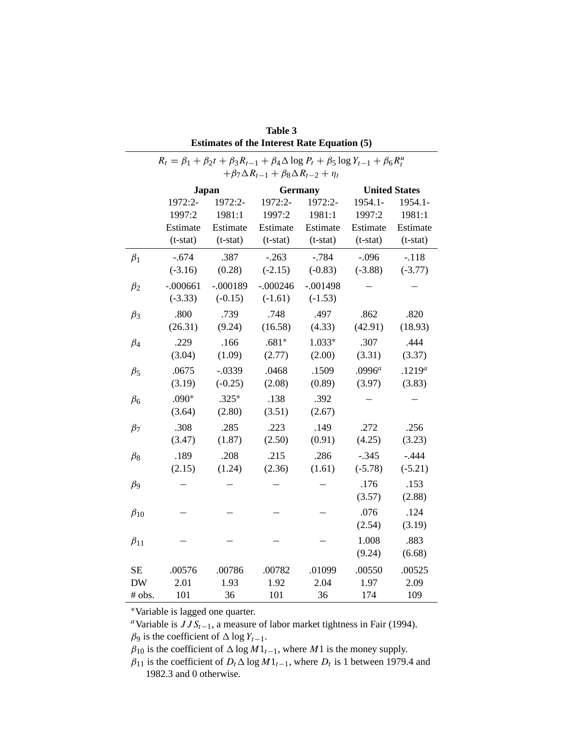|                                                                                                                | <b>Table 3</b>                                     |              |            |                |                        |                        |  |  |  |  |
|----------------------------------------------------------------------------------------------------------------|----------------------------------------------------|--------------|------------|----------------|------------------------|------------------------|--|--|--|--|
|                                                                                                                | <b>Estimates of the Interest Rate Equation (5)</b> |              |            |                |                        |                        |  |  |  |  |
| $R_t = \beta_1 + \beta_2 t + \beta_3 R_{t-1} + \beta_4 \Delta \log P_t + \beta_5 \log Y_{t-1} + \beta_6 R_t^u$ |                                                    |              |            |                |                        |                        |  |  |  |  |
| $+\beta_7\Delta R_{t-1}+\beta_8\Delta R_{t-2}+\eta_t$                                                          |                                                    |              |            |                |                        |                        |  |  |  |  |
|                                                                                                                |                                                    | <b>Japan</b> |            | <b>Germany</b> |                        | <b>United States</b>   |  |  |  |  |
|                                                                                                                | 1972:2-                                            | 1972:2-      | 1972:2-    | 1972:2-        | 1954.1-                | 1954.1-                |  |  |  |  |
|                                                                                                                | 1997:2                                             | 1981:1       | 1997:2     | 1981:1         | 1997:2                 | 1981:1                 |  |  |  |  |
|                                                                                                                | Estimate<br>$(t-stat)$                             | Estimate     | Estimate   | Estimate       | Estimate<br>$(t-stat)$ | Estimate<br>$(t-stat)$ |  |  |  |  |
|                                                                                                                |                                                    | $(t-stat)$   | $(t-stat)$ | $(t-stat)$     |                        |                        |  |  |  |  |
| $\beta_1$                                                                                                      | $-.674$                                            | .387         | $-.263$    | $-.784$        | $-.096$                | $-.118$                |  |  |  |  |
|                                                                                                                | $(-3.16)$                                          | (0.28)       | $(-2.15)$  | $(-0.83)$      | $(-3.88)$              | $(-3.77)$              |  |  |  |  |
| $\beta_2$                                                                                                      | $-.000661$                                         | $-.000189$   | $-.000246$ | $-.001498$     |                        |                        |  |  |  |  |
|                                                                                                                | $(-3.33)$                                          | $(-0.15)$    | $(-1.61)$  | $(-1.53)$      |                        |                        |  |  |  |  |
| $\beta_3$                                                                                                      | .800                                               | .739         | .748       | .497           | .862                   | .820                   |  |  |  |  |
|                                                                                                                | (26.31)                                            | (9.24)       | (16.58)    | (4.33)         | (42.91)                | (18.93)                |  |  |  |  |
| $\beta_4$                                                                                                      | .229                                               | .166         | $.681*$    | $1.033*$       | .307                   | .444                   |  |  |  |  |
|                                                                                                                | (3.04)                                             | (1.09)       | (2.77)     | (2.00)         | (3.31)                 | (3.37)                 |  |  |  |  |
| $\beta_5$                                                                                                      | .0675                                              | $-.0339$     | .0468      | .1509          | .0996 <sup>a</sup>     | $.1219^{a}$            |  |  |  |  |
|                                                                                                                | (3.19)                                             | $(-0.25)$    | (2.08)     | (0.89)         | (3.97)                 | (3.83)                 |  |  |  |  |
| $\beta_6$                                                                                                      | $.090*$                                            | $.325*$      | .138       | .392           |                        |                        |  |  |  |  |
|                                                                                                                | (3.64)                                             | (2.80)       | (3.51)     | (2.67)         |                        |                        |  |  |  |  |
| $\beta_7$                                                                                                      | .308                                               | .285         | .223       | .149           | .272                   | .256                   |  |  |  |  |
|                                                                                                                | (3.47)                                             | (1.87)       | (2.50)     | (0.91)         | (4.25)                 | (3.23)                 |  |  |  |  |
| $\beta_8$                                                                                                      | .189                                               | .208         | .215       | .286           | $-.345$                | $-.444$                |  |  |  |  |
|                                                                                                                | (2.15)                                             | (1.24)       | (2.36)     | (1.61)         | $(-5.78)$              | $(-5.21)$              |  |  |  |  |
| $\beta$ <sub>9</sub>                                                                                           |                                                    |              |            |                | .176                   | .153                   |  |  |  |  |
|                                                                                                                |                                                    |              |            |                | (3.57)                 | (2.88)                 |  |  |  |  |
| $\beta_{10}$                                                                                                   |                                                    |              |            |                | .076                   | .124                   |  |  |  |  |
|                                                                                                                |                                                    |              |            |                | (2.54)                 | (3.19)                 |  |  |  |  |
| $\beta_{11}$                                                                                                   |                                                    |              |            |                | 1.008                  | .883                   |  |  |  |  |
|                                                                                                                |                                                    |              |            |                | (9.24)                 | (6.68)                 |  |  |  |  |
| SЕ                                                                                                             | .00576                                             | .00786       | .00782     | .01099         | .00550                 | .00525                 |  |  |  |  |
| <b>DW</b>                                                                                                      | 2.01                                               | 1.93         | 1.92       | 2.04           | 1.97                   | 2.09                   |  |  |  |  |
| # obs.                                                                                                         | 101                                                | 36           | 101        | 36             | 174                    | 109                    |  |  |  |  |

∗Variable is lagged one quarter.

*<sup>a</sup>*Variable is *JJSt*−1, a measure of labor market tightness in Fair (1994).  $\beta_9$  is the coefficient of  $\Delta \log Y_{t-1}$ .

 $\beta_{10}$  is the coefficient of  $\Delta \log M1_{t-1}$ , where *M*1 is the money supply.

 $\beta_{11}$  is the coefficient of  $D_t \Delta \log M1_{t-1}$ , where  $D_t$  is 1 between 1979.4 and 1982.3 and 0 otherwise.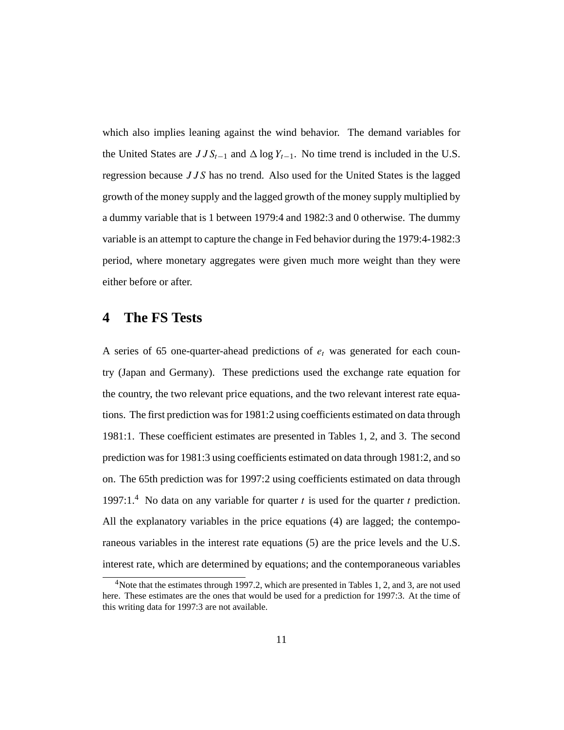which also implies leaning against the wind behavior. The demand variables for the United States are  $JJS_{t-1}$  and  $\Delta \log Y_{t-1}$ . No time trend is included in the U.S. regression because *JJS* has no trend. Also used for the United States is the lagged growth of the money supply and the lagged growth of the money supply multiplied by a dummy variable that is 1 between 1979:4 and 1982:3 and 0 otherwise. The dummy variable is an attempt to capture the change in Fed behavior during the 1979:4-1982:3 period, where monetary aggregates were given much more weight than they were either before or after.

### **4 The FS Tests**

A series of 65 one-quarter-ahead predictions of *et* was generated for each country (Japan and Germany). These predictions used the exchange rate equation for the country, the two relevant price equations, and the two relevant interest rate equations. The first prediction was for 1981:2 using coefficients estimated on data through 1981:1. These coefficient estimates are presented in Tables 1, 2, and 3. The second prediction was for 1981:3 using coefficients estimated on data through 1981:2, and so on. The 65th prediction was for 1997:2 using coefficients estimated on data through 1997:1.<sup>4</sup> No data on any variable for quarter  $t$  is used for the quarter  $t$  prediction. All the explanatory variables in the price equations (4) are lagged; the contemporaneous variables in the interest rate equations (5) are the price levels and the U.S. interest rate, which are determined by equations; and the contemporaneous variables

<sup>&</sup>lt;sup>4</sup> Note that the estimates through 1997.2, which are presented in Tables 1, 2, and 3, are not used here. These estimates are the ones that would be used for a prediction for 1997:3. At the time of this writing data for 1997:3 are not available.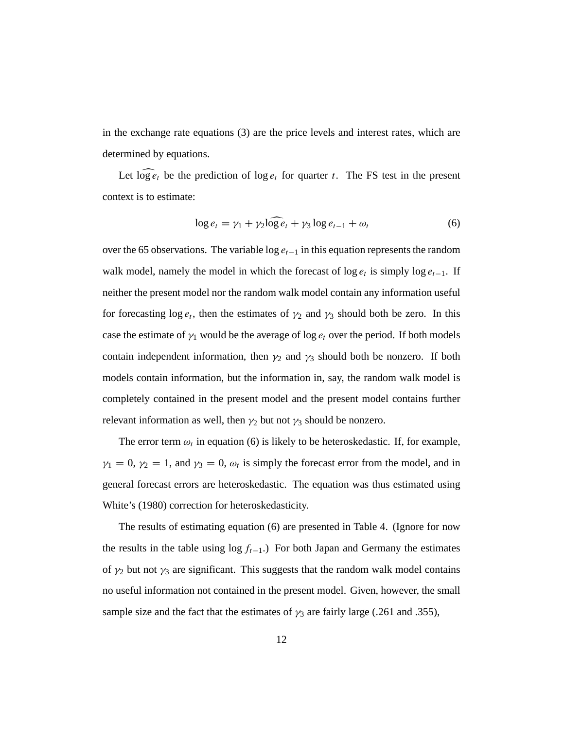in the exchange rate equations (3) are the price levels and interest rates, which are determined by equations.

Let  $\log e_t$  be the prediction of  $\log e_t$  for quarter *t*. The FS test in the present context is to estimate:

$$
\log e_t = \gamma_1 + \gamma_2 \widehat{\log e_t} + \gamma_3 \log e_{t-1} + \omega_t \tag{6}
$$

over the 65 observations. The variable log *et*−<sup>1</sup> in this equation represents the random walk model, namely the model in which the forecast of  $\log e_t$  is simply  $\log e_{t-1}$ . If neither the present model nor the random walk model contain any information useful for forecasting  $\log e_t$ , then the estimates of  $\gamma_2$  and  $\gamma_3$  should both be zero. In this case the estimate of  $\gamma_1$  would be the average of log  $e_t$  over the period. If both models contain independent information, then  $\gamma_2$  and  $\gamma_3$  should both be nonzero. If both models contain information, but the information in, say, the random walk model is completely contained in the present model and the present model contains further relevant information as well, then  $\gamma_2$  but not  $\gamma_3$  should be nonzero.

The error term  $\omega_t$  in equation (6) is likely to be heteroskedastic. If, for example,  $\gamma_1 = 0$ ,  $\gamma_2 = 1$ , and  $\gamma_3 = 0$ ,  $\omega_t$  is simply the forecast error from the model, and in general forecast errors are heteroskedastic. The equation was thus estimated using White's (1980) correction for heteroskedasticity.

The results of estimating equation (6) are presented in Table 4. (Ignore for now the results in the table using  $\log f_{t-1}$ .) For both Japan and Germany the estimates of  $\gamma_2$  but not  $\gamma_3$  are significant. This suggests that the random walk model contains no useful information not contained in the present model. Given, however, the small sample size and the fact that the estimates of  $\gamma_3$  are fairly large (.261 and .355),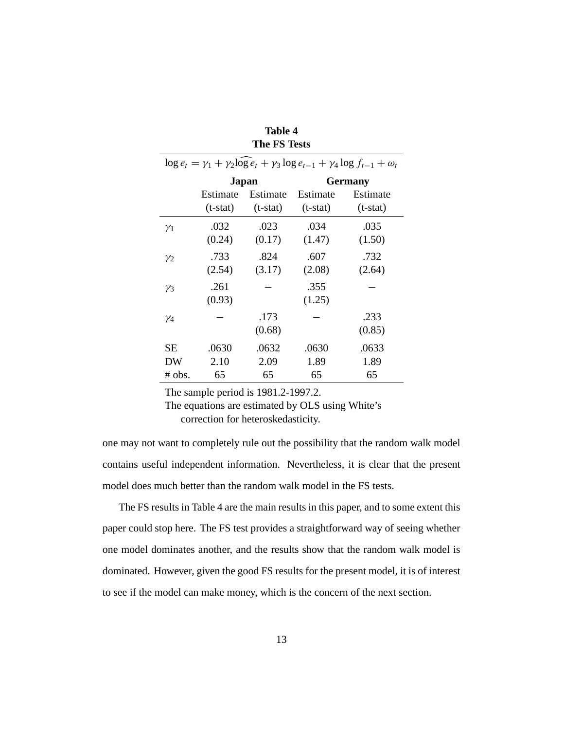| $\log e_t = \gamma_1 + \gamma_2 \log e_t + \gamma_3 \log e_{t-1} + \gamma_4 \log f_{t-1} + \omega_t$ |            |            |                |            |  |  |
|------------------------------------------------------------------------------------------------------|------------|------------|----------------|------------|--|--|
|                                                                                                      |            | Japan      | <b>Germany</b> |            |  |  |
|                                                                                                      | Estimate   | Estimate   | Estimate       | Estimate   |  |  |
|                                                                                                      | $(t-stat)$ | $(t-stat)$ | $(t-stat)$     | $(t-stat)$ |  |  |
| $\gamma_1$                                                                                           | .032       | .023       | .034           | .035       |  |  |
|                                                                                                      | (0.24)     | (0.17)     | (1.47)         | (1.50)     |  |  |
| $\mathcal{V}_2$                                                                                      | .733       | .824       | .607           | .732       |  |  |
|                                                                                                      | (2.54)     | (3.17)     | (2.08)         | (2.64)     |  |  |
| $\gamma_3$                                                                                           | .261       |            | .355           |            |  |  |
|                                                                                                      | (0.93)     |            | (1.25)         |            |  |  |
| $\gamma_4$                                                                                           |            | .173       |                | .233       |  |  |
|                                                                                                      |            | (0.68)     |                | (0.85)     |  |  |
| SЕ                                                                                                   | .0630      | .0632      | .0630          | .0633      |  |  |
| DW                                                                                                   | 2.10       | 2.09       | 1.89           | 1.89       |  |  |
| # obs.                                                                                               | 65         | 65         | 65             | 65         |  |  |

### **Table 4 The FS Tests**

The sample period is 1981.2-1997.2.

The equations are estimated by OLS using White's correction for heteroskedasticity.

one may not want to completely rule out the possibility that the random walk model contains useful independent information. Nevertheless, it is clear that the present model does much better than the random walk model in the FS tests.

The FS results in Table 4 are the main results in this paper, and to some extent this paper could stop here. The FS test provides a straightforward way of seeing whether one model dominates another, and the results show that the random walk model is dominated. However, given the good FS results for the present model, it is of interest to see if the model can make money, which is the concern of the next section.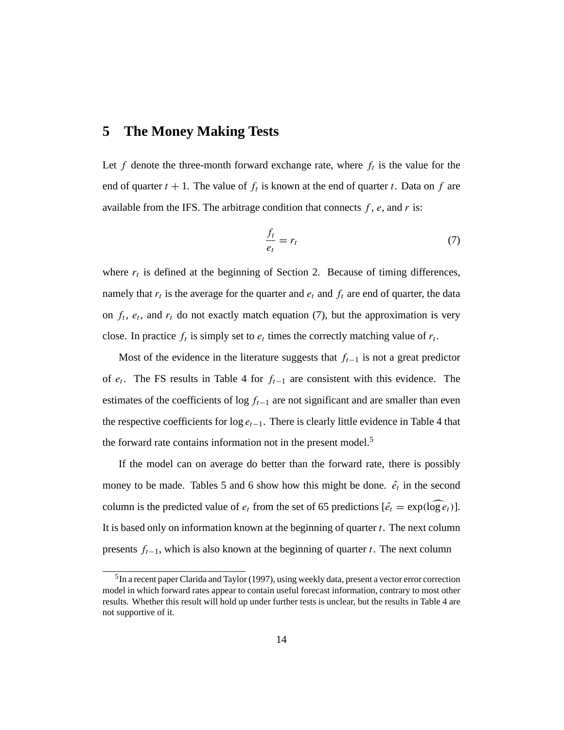### **5 The Money Making Tests**

Let  $f$  denote the three-month forward exchange rate, where  $f_t$  is the value for the end of quarter  $t + 1$ . The value of  $f_t$  is known at the end of quarter  $t$ . Data on  $f$  are available from the IFS. The arbitrage condition that connects *f* , *e*, and *r* is:

$$
\frac{f_t}{e_t} = r_t \tag{7}
$$

where  $r_t$  is defined at the beginning of Section 2. Because of timing differences, namely that  $r_t$  is the average for the quarter and  $e_t$  and  $f_t$  are end of quarter, the data on  $f_t$ ,  $e_t$ , and  $r_t$  do not exactly match equation (7), but the approximation is very close. In practice  $f_t$  is simply set to  $e_t$  times the correctly matching value of  $r_t$ .

Most of the evidence in the literature suggests that *ft*−<sup>1</sup> is not a great predictor of *et* . The FS results in Table 4 for *ft*−<sup>1</sup> are consistent with this evidence. The estimates of the coefficients of log *ft*−<sup>1</sup> are not significant and are smaller than even the respective coefficients for log *et*−1. There is clearly little evidence in Table 4 that the forward rate contains information not in the present model.<sup>5</sup>

If the model can on average do better than the forward rate, there is possibly money to be made. Tables 5 and 6 show how this might be done.  $\hat{e}_t$  in the second column is the predicted value of  $e_t$  from the set of 65 predictions  $[\hat{e_t} = \exp(\log \hat{e_t})]$ . It is based only on information known at the beginning of quarter *t*. The next column presents *ft*−1, which is also known at the beginning of quarter *t*. The next column

<sup>&</sup>lt;sup>5</sup>In a recent paper Clarida and Taylor (1997), using weekly data, present a vector error correction model in which forward rates appear to contain useful forecast information, contrary to most other results. Whether this result will hold up under further tests is unclear, but the results in Table 4 are not supportive of it.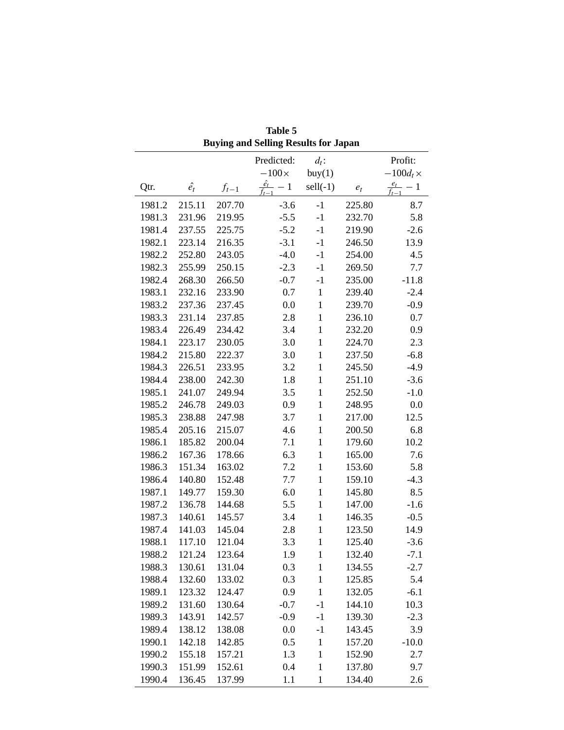|        | Duying and Sening Results for Japan |           |                               |                   |        |                           |  |  |  |
|--------|-------------------------------------|-----------|-------------------------------|-------------------|--------|---------------------------|--|--|--|
|        |                                     |           | Predicted:                    | $d_t$ :           |        | Profit:                   |  |  |  |
|        |                                     |           | $-100\times$                  | buy(1)            |        | $-100d_t \times$          |  |  |  |
| Qtr.   | $\hat{e_t}$                         | $f_{t-1}$ | $\frac{\hat{e_t}}{f_{t-1}}-1$ | $\text{sell}(-1)$ | $e_t$  | $\frac{e_t}{f_{t-1}} - 1$ |  |  |  |
| 1981.2 | 215.11                              | 207.70    | $-3.6$                        | $-1$              | 225.80 | 8.7                       |  |  |  |
| 1981.3 | 231.96                              | 219.95    | $-5.5$                        | $-1$              | 232.70 | 5.8                       |  |  |  |
| 1981.4 | 237.55                              | 225.75    | $-5.2$                        | $-1$              | 219.90 | $-2.6$                    |  |  |  |
| 1982.1 | 223.14                              | 216.35    | $-3.1$                        | $-1$              | 246.50 | 13.9                      |  |  |  |
| 1982.2 | 252.80                              | 243.05    | $-4.0$                        | $-1$              | 254.00 | 4.5                       |  |  |  |
| 1982.3 | 255.99                              | 250.15    | $-2.3$                        | $-1$              | 269.50 | 7.7                       |  |  |  |
| 1982.4 | 268.30                              | 266.50    | $-0.7$                        | $-1$              | 235.00 | $-11.8$                   |  |  |  |
| 1983.1 | 232.16                              | 233.90    | 0.7                           | $\mathbf{1}$      | 239.40 | $-2.4$                    |  |  |  |
| 1983.2 | 237.36                              | 237.45    | 0.0                           | $\mathbf{1}$      | 239.70 | $-0.9$                    |  |  |  |
| 1983.3 | 231.14                              | 237.85    | 2.8                           | $\mathbf{1}$      | 236.10 | 0.7                       |  |  |  |
| 1983.4 | 226.49                              | 234.42    | 3.4                           | $\mathbf{1}$      | 232.20 | 0.9                       |  |  |  |
| 1984.1 | 223.17                              | 230.05    | 3.0                           | $\mathbf{1}$      | 224.70 | 2.3                       |  |  |  |
| 1984.2 | 215.80                              | 222.37    | 3.0                           | $\mathbf{1}$      | 237.50 | $-6.8$                    |  |  |  |
| 1984.3 | 226.51                              | 233.95    | 3.2                           | $\mathbf{1}$      | 245.50 | $-4.9$                    |  |  |  |
| 1984.4 | 238.00                              | 242.30    | 1.8                           | $\mathbf{1}$      | 251.10 | $-3.6$                    |  |  |  |
| 1985.1 | 241.07                              | 249.94    | 3.5                           | $\mathbf{1}$      | 252.50 | $-1.0$                    |  |  |  |
| 1985.2 | 246.78                              | 249.03    | 0.9                           | $\mathbf{1}$      | 248.95 | 0.0                       |  |  |  |
| 1985.3 | 238.88                              | 247.98    | 3.7                           | $\mathbf{1}$      | 217.00 | 12.5                      |  |  |  |
| 1985.4 | 205.16                              | 215.07    | 4.6                           | $\mathbf{1}$      | 200.50 | 6.8                       |  |  |  |
| 1986.1 | 185.82                              | 200.04    | 7.1                           | $\mathbf{1}$      | 179.60 | 10.2                      |  |  |  |
| 1986.2 | 167.36                              | 178.66    | 6.3                           | $\mathbf{1}$      | 165.00 | 7.6                       |  |  |  |
| 1986.3 | 151.34                              | 163.02    | 7.2                           | $\mathbf{1}$      | 153.60 | 5.8                       |  |  |  |
| 1986.4 | 140.80                              | 152.48    | 7.7                           | $\mathbf{1}$      | 159.10 | $-4.3$                    |  |  |  |
| 1987.1 | 149.77                              | 159.30    | 6.0                           | $\mathbf{1}$      | 145.80 | 8.5                       |  |  |  |
| 1987.2 | 136.78                              | 144.68    | 5.5                           | $\mathbf{1}$      | 147.00 | $-1.6$                    |  |  |  |
| 1987.3 | 140.61                              | 145.57    | 3.4                           | $\mathbf{1}$      | 146.35 | $-0.5$                    |  |  |  |
| 1987.4 | 141.03                              | 145.04    | 2.8                           | $\mathbf{1}$      | 123.50 | 14.9                      |  |  |  |
| 1988.1 | 117.10                              | 121.04    | 3.3                           | $\mathbf{1}$      | 125.40 | $-3.6$                    |  |  |  |
| 1988.2 | 121.24                              | 123.64    | 1.9                           | $\mathbf{1}$      | 132.40 | $-7.1$                    |  |  |  |
| 1988.3 | 130.61                              | 131.04    | 0.3                           | $\mathbf{1}$      | 134.55 | $-2.7$                    |  |  |  |
| 1988.4 | 132.60                              | 133.02    | 0.3                           | $\mathbf{1}$      | 125.85 | 5.4                       |  |  |  |
| 1989.1 | 123.32                              | 124.47    | 0.9                           | $\mathbf{1}$      | 132.05 | $-6.1$                    |  |  |  |
| 1989.2 | 131.60                              | 130.64    | $-0.7$                        | $-1$              | 144.10 | 10.3                      |  |  |  |
| 1989.3 | 143.91                              | 142.57    | $-0.9$                        | $-1$              | 139.30 | $-2.3$                    |  |  |  |
| 1989.4 | 138.12                              | 138.08    | $0.0\,$                       | $-1$              | 143.45 | 3.9                       |  |  |  |
| 1990.1 | 142.18                              | 142.85    | 0.5                           | $\mathbf{1}$      | 157.20 | $-10.0$                   |  |  |  |
| 1990.2 | 155.18                              | 157.21    | 1.3                           | $\mathbf{1}$      | 152.90 | 2.7                       |  |  |  |
| 1990.3 | 151.99                              | 152.61    | 0.4                           | $\mathbf{1}$      | 137.80 | 9.7                       |  |  |  |
| 1990.4 | 136.45                              | 137.99    | 1.1                           | $\mathbf{1}$      | 134.40 | 2.6                       |  |  |  |

**Table 5 Buying and Selling Results for Japan**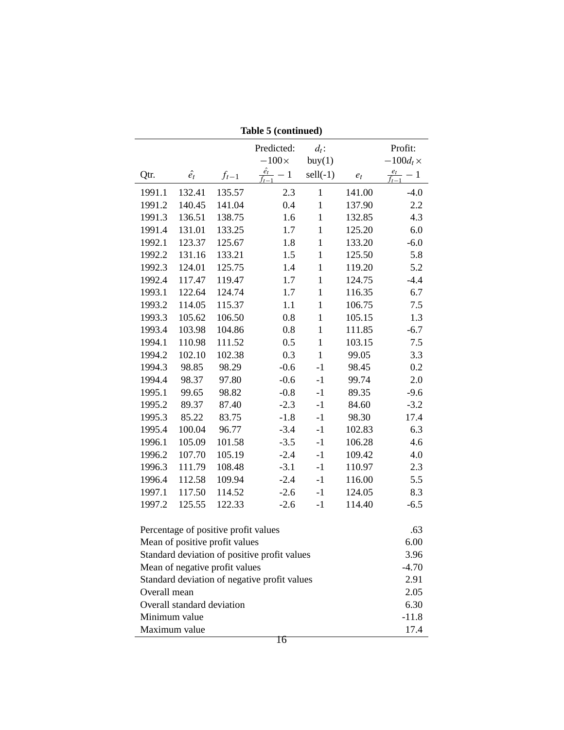|                       |                                      |           | Predicted:                                   | $d_t$ :           |        | Profit:             |  |
|-----------------------|--------------------------------------|-----------|----------------------------------------------|-------------------|--------|---------------------|--|
|                       |                                      |           | $-100\times$                                 | buy(1)            |        | $-100d_t \times$    |  |
| Qtr.                  | $\hat{e_t}$                          | $f_{t-1}$ | $\frac{\hat{e_t}}{c} - 1$                    | $\text{sell}(-1)$ | $e_t$  | $\frac{e_t}{f} - 1$ |  |
| 1991.1                | 132.41                               | 135.57    | 2.3                                          | $\mathbf{1}$      | 141.00 | $-4.0$              |  |
| 1991.2                | 140.45                               | 141.04    | 0.4                                          | $\mathbf{1}$      | 137.90 | 2.2                 |  |
| 1991.3                | 136.51                               | 138.75    | 1.6                                          | $\mathbf{1}$      | 132.85 | 4.3                 |  |
| 1991.4                | 131.01                               | 133.25    | 1.7                                          | $\mathbf{1}$      | 125.20 | 6.0                 |  |
| 1992.1                | 123.37                               | 125.67    | 1.8                                          | $\,1$             | 133.20 | $-6.0$              |  |
| 1992.2                | 131.16                               | 133.21    | 1.5                                          | $\mathbf{1}$      | 125.50 | 5.8                 |  |
| 1992.3                | 124.01                               | 125.75    | 1.4                                          | $\,1$             | 119.20 | 5.2                 |  |
| 1992.4                | 117.47                               | 119.47    | 1.7                                          | $\mathbf 1$       | 124.75 | $-4.4$              |  |
| 1993.1                | 122.64                               | 124.74    | 1.7                                          | $\,1$             | 116.35 | 6.7                 |  |
| 1993.2                | 114.05                               | 115.37    | 1.1                                          | $\mathbf{1}$      | 106.75 | 7.5                 |  |
| 1993.3                | 105.62                               | 106.50    | 0.8                                          | $\,1$             | 105.15 | 1.3                 |  |
| 1993.4                | 103.98                               | 104.86    | 0.8                                          | $\,1$             | 111.85 | $-6.7$              |  |
| 1994.1                | 110.98                               | 111.52    | 0.5                                          | $\,1$             | 103.15 | 7.5                 |  |
| 1994.2                | 102.10                               | 102.38    | 0.3                                          | $\mathbf{1}$      | 99.05  | 3.3                 |  |
| 1994.3                | 98.85                                | 98.29     | $-0.6$                                       | $-1$              | 98.45  | 0.2                 |  |
| 1994.4                | 98.37                                | 97.80     | $-0.6$                                       | $-1$              | 99.74  | 2.0                 |  |
| 1995.1                | 99.65                                | 98.82     | $-0.8$                                       | $-1$              | 89.35  | $-9.6$              |  |
| 1995.2                | 89.37                                | 87.40     | $-2.3$                                       | $-1$              | 84.60  | $-3.2$              |  |
| 1995.3                | 85.22                                | 83.75     | $-1.8$                                       | $-1$              | 98.30  | 17.4                |  |
| 1995.4                | 100.04                               | 96.77     | $-3.4$                                       | $-1$              | 102.83 | 6.3                 |  |
| 1996.1                | 105.09                               | 101.58    | $-3.5$                                       | $-1$              | 106.28 | 4.6                 |  |
| 1996.2                | 107.70                               | 105.19    | $-2.4$                                       | $-1$              | 109.42 | 4.0                 |  |
| 1996.3                | 111.79                               | 108.48    | $-3.1$                                       | $-1$              | 110.97 | 2.3                 |  |
| 1996.4                | 112.58                               | 109.94    | $-2.4$                                       | $-1$              | 116.00 | 5.5                 |  |
| 1997.1                | 117.50                               | 114.52    | $-2.6$                                       | $-1$              | 124.05 | 8.3                 |  |
| 1997.2                | 125.55                               | 122.33    | $-2.6$                                       | $-1$              | 114.40 | $-6.5$              |  |
|                       | Percentage of positive profit values |           |                                              |                   |        | .63                 |  |
|                       | Mean of positive profit values       |           |                                              |                   |        | 6.00                |  |
|                       |                                      |           | Standard deviation of positive profit values |                   |        | 3.96                |  |
|                       | Mean of negative profit values       |           |                                              |                   |        | $-4.70$             |  |
|                       |                                      |           | Standard deviation of negative profit values |                   |        | 2.91                |  |
| Overall mean          |                                      |           |                                              |                   |        |                     |  |
|                       | Overall standard deviation           |           |                                              |                   |        | 2.05<br>6.30        |  |
| Minimum value         |                                      |           |                                              |                   |        | $-11.8$             |  |
|                       |                                      |           |                                              |                   |        |                     |  |
| Maximum value<br>17.4 |                                      |           |                                              |                   |        |                     |  |

**Table 5 (continued)**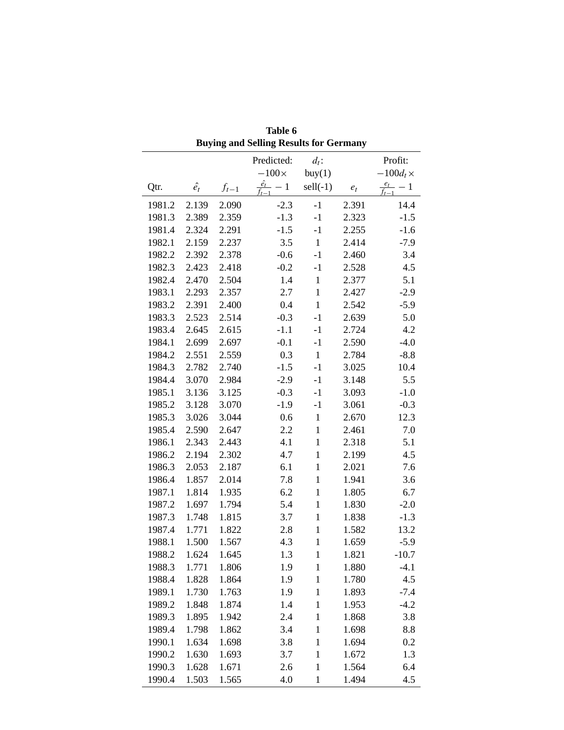|        |             |           | <b>Buying and Selling Results for Germany</b> |                   |       |                           |
|--------|-------------|-----------|-----------------------------------------------|-------------------|-------|---------------------------|
|        |             |           | Predicted:                                    | $d_t$ :           |       | Profit:                   |
|        |             |           | $-100\times$                                  | buy(1)            |       | $-100d_t \times$          |
| Qtr.   | $\hat{e_t}$ | $f_{t-1}$ | $\frac{\hat{e}_t}{\hat{e}_t} - 1$             | $\text{sell}(-1)$ | $e_t$ | $\frac{e_t}{f_{t-1}} - 1$ |
| 1981.2 | 2.139       | 2.090     | $-2.3$                                        | $-1$              | 2.391 | 14.4                      |
| 1981.3 | 2.389       | 2.359     | $-1.3$                                        | $-1$              | 2.323 | $-1.5$                    |
| 1981.4 | 2.324       | 2.291     | $-1.5$                                        | $-1$              | 2.255 | $-1.6$                    |
| 1982.1 | 2.159       | 2.237     | 3.5                                           | $\mathbf{1}$      | 2.414 | $-7.9$                    |
| 1982.2 | 2.392       | 2.378     | $-0.6$                                        | $-1$              | 2.460 | 3.4                       |
| 1982.3 | 2.423       | 2.418     | $-0.2$                                        | $-1$              | 2.528 | 4.5                       |
| 1982.4 | 2.470       | 2.504     | 1.4                                           | $\mathbf{1}$      | 2.377 | 5.1                       |
| 1983.1 | 2.293       | 2.357     | 2.7                                           | $\mathbf{1}$      | 2.427 | $-2.9$                    |
| 1983.2 | 2.391       | 2.400     | 0.4                                           | $\mathbf{1}$      | 2.542 | $-5.9$                    |
| 1983.3 | 2.523       | 2.514     | $-0.3$                                        | $-1$              | 2.639 | 5.0                       |
| 1983.4 | 2.645       | 2.615     | $-1.1$                                        | $-1$              | 2.724 | 4.2                       |
| 1984.1 | 2.699       | 2.697     | $-0.1$                                        | $-1$              | 2.590 | $-4.0$                    |
| 1984.2 | 2.551       | 2.559     | 0.3                                           | $\mathbf{1}$      | 2.784 | $-8.8$                    |
| 1984.3 | 2.782       | 2.740     | $-1.5$                                        | $-1$              | 3.025 | 10.4                      |
| 1984.4 | 3.070       | 2.984     | $-2.9$                                        | $-1$              | 3.148 | 5.5                       |
| 1985.1 | 3.136       | 3.125     | $-0.3$                                        | $-1$              | 3.093 | $-1.0$                    |
| 1985.2 | 3.128       | 3.070     | $-1.9$                                        | $-1$              | 3.061 | $-0.3$                    |
| 1985.3 | 3.026       | 3.044     | 0.6                                           | $\mathbf{1}$      | 2.670 | 12.3                      |
| 1985.4 | 2.590       | 2.647     | 2.2                                           | $\,1$             | 2.461 | 7.0                       |
| 1986.1 | 2.343       | 2.443     | 4.1                                           | $\,1$             | 2.318 | 5.1                       |
| 1986.2 | 2.194       | 2.302     | 4.7                                           | $\mathbf{1}$      | 2.199 | 4.5                       |
| 1986.3 | 2.053       | 2.187     | 6.1                                           | $\,1\,$           | 2.021 | 7.6                       |
| 1986.4 | 1.857       | 2.014     | 7.8                                           | $\mathbf{1}$      | 1.941 | 3.6                       |
| 1987.1 | 1.814       | 1.935     | 6.2                                           | $\,1$             | 1.805 | 6.7                       |
| 1987.2 | 1.697       | 1.794     | 5.4                                           | $\mathbf{1}$      | 1.830 | $-2.0$                    |
| 1987.3 | 1.748       | 1.815     | 3.7                                           | $\mathbf{1}$      | 1.838 | $-1.3$                    |
| 1987.4 | 1.771       | 1.822     | 2.8                                           | $\mathbf{1}$      | 1.582 | 13.2                      |
| 1988.1 | 1.500       | 1.567     | 4.3                                           | $\mathbf{1}$      | 1.659 | $-5.9$                    |
| 1988.2 | 1.624       | 1.645     | 1.3                                           | $\mathbf{1}$      | 1.821 | $-10.7$                   |
| 1988.3 | 1.771       | 1.806     | 1.9                                           | 1                 | 1.880 | $-4.1$                    |
| 1988.4 | 1.828       | 1.864     | 1.9                                           | $\mathbf{1}$      | 1.780 | 4.5                       |
| 1989.1 | 1.730       | 1.763     | 1.9                                           | $\mathbf{1}$      | 1.893 | $-7.4$                    |
| 1989.2 | 1.848       | 1.874     | 1.4                                           | $\mathbf{1}$      | 1.953 | $-4.2$                    |
| 1989.3 | 1.895       | 1.942     | 2.4                                           | $\mathbf{1}$      | 1.868 | 3.8                       |
| 1989.4 | 1.798       | 1.862     | 3.4                                           | $\mathbf{1}$      | 1.698 | 8.8                       |
| 1990.1 | 1.634       | 1.698     | 3.8                                           | $\mathbf{1}$      | 1.694 | 0.2                       |
| 1990.2 | 1.630       | 1.693     | 3.7                                           | $\mathbf{1}$      | 1.672 | 1.3                       |
| 1990.3 | 1.628       | 1.671     | 2.6                                           | $\mathbf{1}$      | 1.564 | 6.4                       |
| 1990.4 | 1.503       | 1.565     | 4.0                                           | $\mathbf{1}$      | 1.494 | 4.5                       |

**Table 6 Buying and Selling Results for Germany**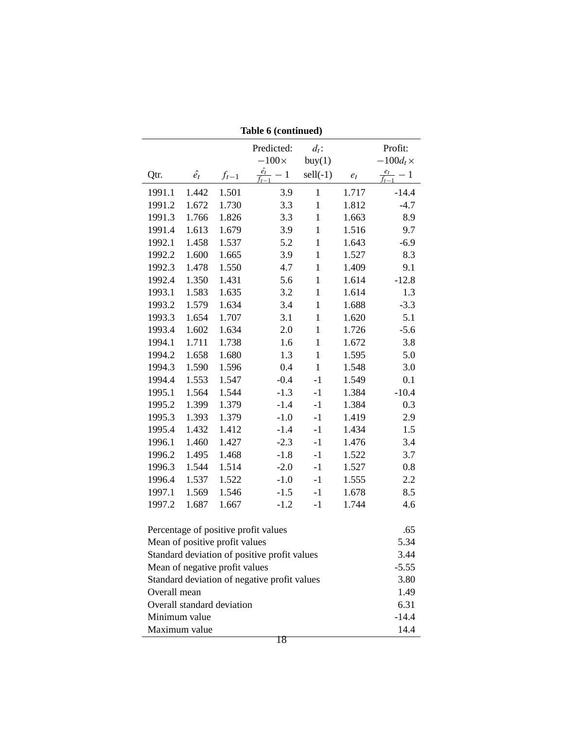|               |             |                                | Predicted:                                     | $d_t$ :      |       | Profit:                   |  |
|---------------|-------------|--------------------------------|------------------------------------------------|--------------|-------|---------------------------|--|
|               |             |                                | $-100\times$                                   | buy(1)       |       | $-100d_t \times$          |  |
| Qtr.          | $\hat{e_t}$ | $f_{t-1}$                      | $\frac{\hat{e_t}}{f_{t-1}} - 1$ sell(-1) $e_t$ |              |       | $\frac{e_t}{f_{t-1}} - 1$ |  |
| 1991.1        | 1.442       | 1.501                          | 3.9                                            | $\mathbf{1}$ | 1.717 | $-14.4$                   |  |
| 1991.2        | 1.672       | 1.730                          | 3.3                                            | $\mathbf{1}$ | 1.812 | $-4.7$                    |  |
| 1991.3        | 1.766       | 1.826                          | 3.3                                            | $\mathbf{1}$ | 1.663 | 8.9                       |  |
| 1991.4        | 1.613       | 1.679                          | 3.9                                            | $\mathbf{1}$ | 1.516 | 9.7                       |  |
| 1992.1        | 1.458       | 1.537                          | 5.2                                            | $\mathbf{1}$ | 1.643 | $-6.9$                    |  |
| 1992.2        | 1.600       | 1.665                          | 3.9                                            | $\mathbf{1}$ | 1.527 | 8.3                       |  |
| 1992.3        | 1.478       | 1.550                          | 4.7                                            | $\mathbf{1}$ | 1.409 | 9.1                       |  |
| 1992.4        | 1.350       | 1.431                          | 5.6                                            | $\mathbf{1}$ | 1.614 | $-12.8$                   |  |
| 1993.1        | 1.583       | 1.635                          | 3.2                                            | $\mathbf 1$  | 1.614 | 1.3                       |  |
| 1993.2        | 1.579       | 1.634                          | 3.4                                            | $\mathbf{1}$ | 1.688 | $-3.3$                    |  |
| 1993.3        | 1.654       | 1.707                          | 3.1                                            | $\mathbf{1}$ | 1.620 | 5.1                       |  |
| 1993.4        | 1.602       | 1.634                          | 2.0                                            | $\mathbf{1}$ | 1.726 | $-5.6$                    |  |
| 1994.1        | 1.711       | 1.738                          | 1.6                                            | $\mathbf{1}$ | 1.672 | 3.8                       |  |
| 1994.2        | 1.658       | 1.680                          | 1.3                                            | $\mathbf{1}$ | 1.595 | 5.0                       |  |
| 1994.3        | 1.590       | 1.596                          | 0.4                                            | $\mathbf{1}$ | 1.548 | 3.0                       |  |
| 1994.4        | 1.553       | 1.547                          | $-0.4$                                         | $-1$         | 1.549 | 0.1                       |  |
| 1995.1        | 1.564       | 1.544                          | $-1.3$                                         | $-1$         | 1.384 | $-10.4$                   |  |
| 1995.2        | 1.399       | 1.379                          | $-1.4$                                         | $-1$         | 1.384 | 0.3                       |  |
| 1995.3        | 1.393       | 1.379                          | $-1.0$                                         | $-1$         | 1.419 | 2.9                       |  |
| 1995.4        | 1.432       | 1.412                          | $-1.4$                                         | $-1$         | 1.434 | 1.5                       |  |
| 1996.1        | 1.460       | 1.427                          | $-2.3$                                         | $-1$         | 1.476 | 3.4                       |  |
| 1996.2        | 1.495       | 1.468                          | $-1.8$                                         | $-1$         | 1.522 | 3.7                       |  |
| 1996.3        | 1.544       | 1.514                          | $-2.0$                                         | $-1$         | 1.527 | 0.8                       |  |
| 1996.4        | 1.537       | 1.522                          | $-1.0$                                         | $-1$         | 1.555 | $2.2\,$                   |  |
| 1997.1        | 1.569       | 1.546                          | $-1.5$                                         | $-1$         | 1.678 | 8.5                       |  |
| 1997.2        | 1.687       | 1.667                          | $-1.2$                                         | $-1$         | 1.744 | 4.6                       |  |
|               |             |                                |                                                |              |       |                           |  |
|               |             |                                | Percentage of positive profit values           |              |       | .65                       |  |
|               |             | Mean of positive profit values |                                                |              |       | 5.34                      |  |
|               |             |                                | Standard deviation of positive profit values   |              |       | 3.44                      |  |
|               |             | Mean of negative profit values |                                                |              |       | $-5.55$                   |  |
|               |             |                                | Standard deviation of negative profit values   |              |       | 3.80                      |  |
| Overall mean  |             |                                |                                                |              |       | 1.49                      |  |
|               |             | Overall standard deviation     |                                                |              |       | 6.31                      |  |
| Minimum value |             |                                |                                                |              |       | $-14.4$<br>14.4           |  |
| Maximum value |             |                                |                                                |              |       |                           |  |

**Table 6 (continued)**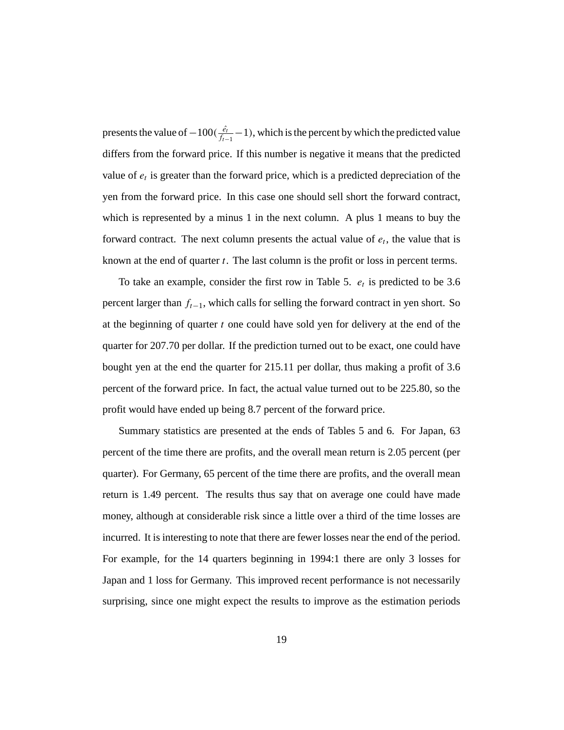presents the value of  $-100(\frac{\hat{e}_t}{f_{t-1}}-1)$ , which is the percent by which the predicted value differs from the forward price. If this number is negative it means that the predicted value of  $e_t$  is greater than the forward price, which is a predicted depreciation of the yen from the forward price. In this case one should sell short the forward contract, which is represented by a minus 1 in the next column. A plus 1 means to buy the forward contract. The next column presents the actual value of  $e_t$ , the value that is known at the end of quarter *t*. The last column is the profit or loss in percent terms.

To take an example, consider the first row in Table 5.  $e_t$  is predicted to be 3.6 percent larger than *ft*−1, which calls for selling the forward contract in yen short. So at the beginning of quarter *t* one could have sold yen for delivery at the end of the quarter for 207.70 per dollar. If the prediction turned out to be exact, one could have bought yen at the end the quarter for 215.11 per dollar, thus making a profit of 3.6 percent of the forward price. In fact, the actual value turned out to be 225.80, so the profit would have ended up being 8.7 percent of the forward price.

Summary statistics are presented at the ends of Tables 5 and 6. For Japan, 63 percent of the time there are profits, and the overall mean return is 2.05 percent (per quarter). For Germany, 65 percent of the time there are profits, and the overall mean return is 1.49 percent. The results thus say that on average one could have made money, although at considerable risk since a little over a third of the time losses are incurred. It is interesting to note that there are fewer losses near the end of the period. For example, for the 14 quarters beginning in 1994:1 there are only 3 losses for Japan and 1 loss for Germany. This improved recent performance is not necessarily surprising, since one might expect the results to improve as the estimation periods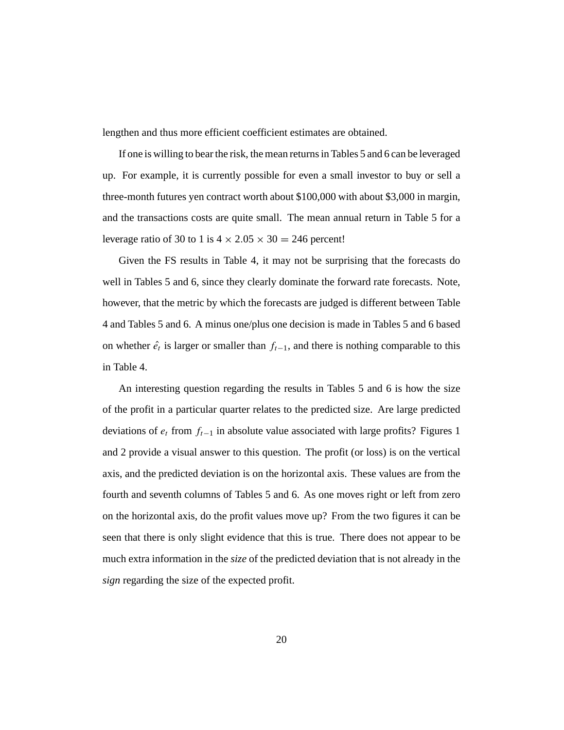lengthen and thus more efficient coefficient estimates are obtained.

If one is willing to bear the risk, the mean returns in Tables 5 and 6 can be leveraged up. For example, it is currently possible for even a small investor to buy or sell a three-month futures yen contract worth about \$100,000 with about \$3,000 in margin, and the transactions costs are quite small. The mean annual return in Table 5 for a leverage ratio of 30 to 1 is  $4 \times 2.05 \times 30 = 246$  percent!

Given the FS results in Table 4, it may not be surprising that the forecasts do well in Tables 5 and 6, since they clearly dominate the forward rate forecasts. Note, however, that the metric by which the forecasts are judged is different between Table 4 and Tables 5 and 6. A minus one/plus one decision is made in Tables 5 and 6 based on whether  $\hat{e}_t$  is larger or smaller than  $f_{t-1}$ , and there is nothing comparable to this in Table 4.

An interesting question regarding the results in Tables 5 and 6 is how the size of the profit in a particular quarter relates to the predicted size. Are large predicted deviations of *et* from *ft*−<sup>1</sup> in absolute value associated with large profits? Figures 1 and 2 provide a visual answer to this question. The profit (or loss) is on the vertical axis, and the predicted deviation is on the horizontal axis. These values are from the fourth and seventh columns of Tables 5 and 6. As one moves right or left from zero on the horizontal axis, do the profit values move up? From the two figures it can be seen that there is only slight evidence that this is true. There does not appear to be much extra information in the *size* of the predicted deviation that is not already in the *sign* regarding the size of the expected profit.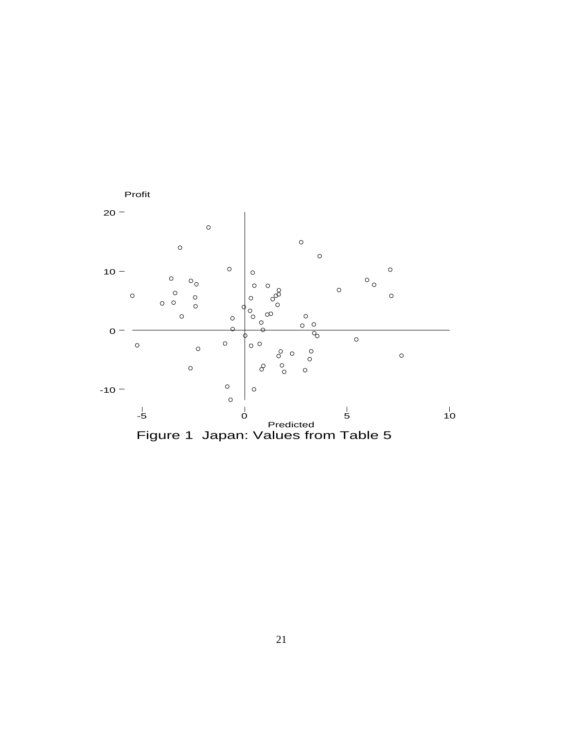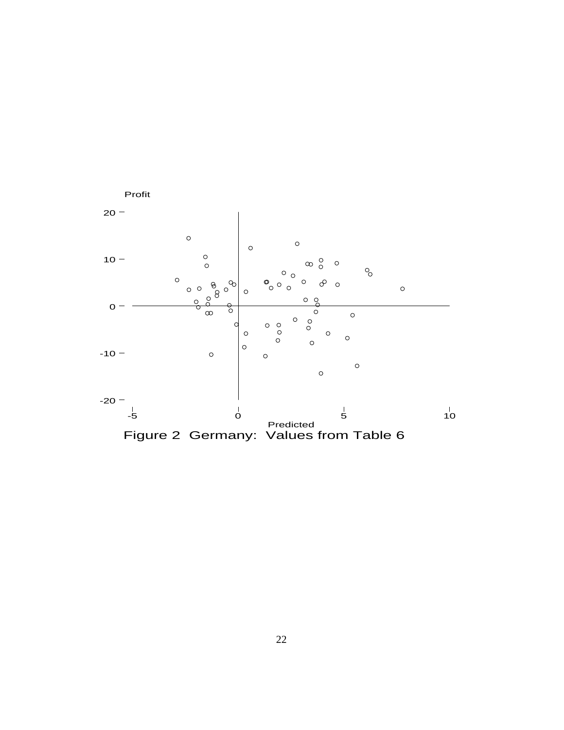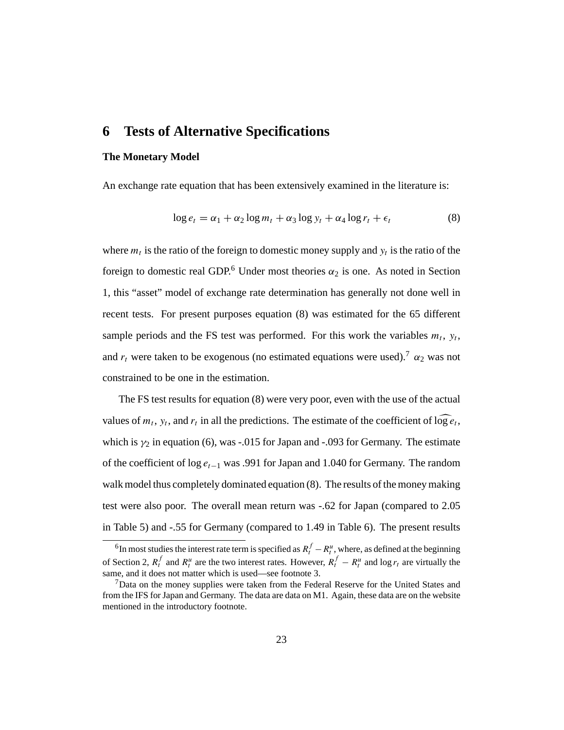# **6 Tests of Alternative Specifications**

### **The Monetary Model**

An exchange rate equation that has been extensively examined in the literature is:

$$
\log e_t = \alpha_1 + \alpha_2 \log m_t + \alpha_3 \log y_t + \alpha_4 \log r_t + \epsilon_t \tag{8}
$$

where  $m_t$  is the ratio of the foreign to domestic money supply and  $y_t$  is the ratio of the foreign to domestic real GDP.<sup>6</sup> Under most theories  $\alpha_2$  is one. As noted in Section 1, this "asset" model of exchange rate determination has generally not done well in recent tests. For present purposes equation (8) was estimated for the 65 different sample periods and the FS test was performed. For this work the variables  $m_t$ ,  $y_t$ , and  $r_t$  were taken to be exogenous (no estimated equations were used).<sup>7</sup>  $\alpha_2$  was not constrained to be one in the estimation.

The FS test results for equation (8) were very poor, even with the use of the actual values of  $m_t$ ,  $y_t$ , and  $r_t$  in all the predictions. The estimate of the coefficient of  $\log e_t$ , which is  $γ<sub>2</sub>$  in equation (6), was -.015 for Japan and -.093 for Germany. The estimate of the coefficient of log *et*−<sup>1</sup> was .991 for Japan and 1.040 for Germany. The random walk model thus completely dominated equation (8). The results of the money making test were also poor. The overall mean return was -.62 for Japan (compared to 2.05 in Table 5) and -.55 for Germany (compared to 1.49 in Table 6). The present results

<sup>&</sup>lt;sup>6</sup>In most studies the interest rate term is specified as  $R_t^f - R_t^u$ , where, as defined at the beginning of Section 2,  $R_t^f$  and  $R_t^u$  are the two interest rates. However,  $R_t^f - R_t^u$  and log  $r_t$  are virtually the same, and it does not matter which is used—see footnote 3.

 $<sup>7</sup>$ Data on the money supplies were taken from the Federal Reserve for the United States and</sup> from the IFS for Japan and Germany. The data are data on M1. Again, these data are on the website mentioned in the introductory footnote.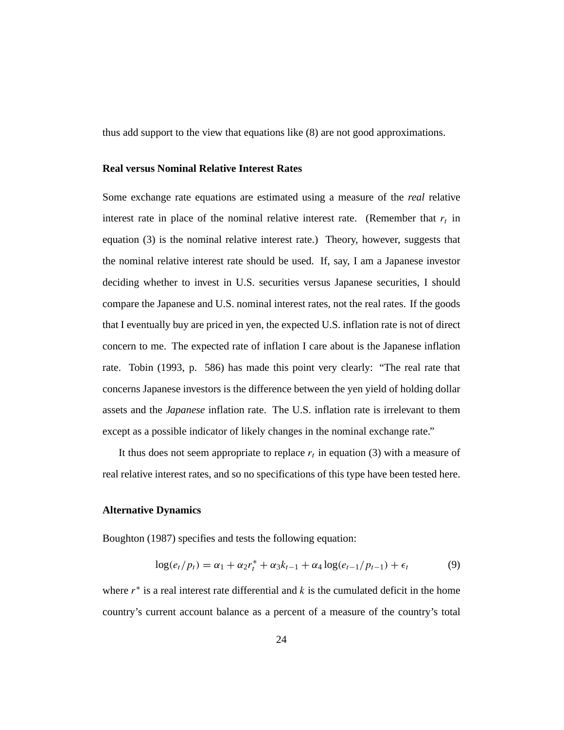thus add support to the view that equations like (8) are not good approximations.

### **Real versus Nominal Relative Interest Rates**

Some exchange rate equations are estimated using a measure of the *real* relative interest rate in place of the nominal relative interest rate. (Remember that  $r_t$  in equation (3) is the nominal relative interest rate.) Theory, however, suggests that the nominal relative interest rate should be used. If, say, I am a Japanese investor deciding whether to invest in U.S. securities versus Japanese securities, I should compare the Japanese and U.S. nominal interest rates, not the real rates. If the goods that I eventually buy are priced in yen, the expected U.S. inflation rate is not of direct concern to me. The expected rate of inflation I care about is the Japanese inflation rate. Tobin (1993, p. 586) has made this point very clearly: "The real rate that concerns Japanese investors is the difference between the yen yield of holding dollar assets and the *Japanese* inflation rate. The U.S. inflation rate is irrelevant to them except as a possible indicator of likely changes in the nominal exchange rate."

It thus does not seem appropriate to replace  $r<sub>t</sub>$  in equation (3) with a measure of real relative interest rates, and so no specifications of this type have been tested here.

#### **Alternative Dynamics**

Boughton (1987) specifies and tests the following equation:

$$
\log(e_t/p_t) = \alpha_1 + \alpha_2 r_t^* + \alpha_3 k_{t-1} + \alpha_4 \log(e_{t-1}/p_{t-1}) + \epsilon_t
$$
 (9)

where  $r^*$  is a real interest rate differential and  $k$  is the cumulated deficit in the home country's current account balance as a percent of a measure of the country's total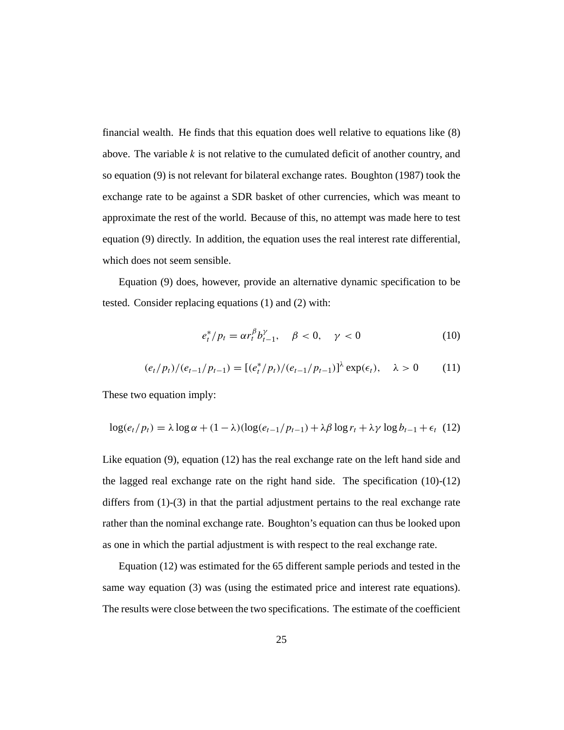financial wealth. He finds that this equation does well relative to equations like (8) above. The variable *k* is not relative to the cumulated deficit of another country, and so equation (9) is not relevant for bilateral exchange rates. Boughton (1987) took the exchange rate to be against a SDR basket of other currencies, which was meant to approximate the rest of the world. Because of this, no attempt was made here to test equation (9) directly. In addition, the equation uses the real interest rate differential, which does not seem sensible.

Equation (9) does, however, provide an alternative dynamic specification to be tested. Consider replacing equations (1) and (2) with:

$$
e_t^* / p_t = \alpha r_t^{\beta} b_{t-1}^{\gamma}, \quad \beta < 0, \quad \gamma < 0 \tag{10}
$$

$$
(e_t/p_t)/(e_{t-1}/p_{t-1}) = [(e_t^*/p_t)/(e_{t-1}/p_{t-1})]^{\lambda} \exp(\epsilon_t), \quad \lambda > 0 \quad (11)
$$

These two equation imply:

$$
\log(e_t/p_t) = \lambda \log \alpha + (1 - \lambda) (\log(e_{t-1}/p_{t-1}) + \lambda \beta \log r_t + \lambda \gamma \log b_{t-1} + \epsilon_t \tag{12}
$$

Like equation (9), equation (12) has the real exchange rate on the left hand side and the lagged real exchange rate on the right hand side. The specification (10)-(12) differs from (1)-(3) in that the partial adjustment pertains to the real exchange rate rather than the nominal exchange rate. Boughton's equation can thus be looked upon as one in which the partial adjustment is with respect to the real exchange rate.

Equation (12) was estimated for the 65 different sample periods and tested in the same way equation (3) was (using the estimated price and interest rate equations). The results were close between the two specifications. The estimate of the coefficient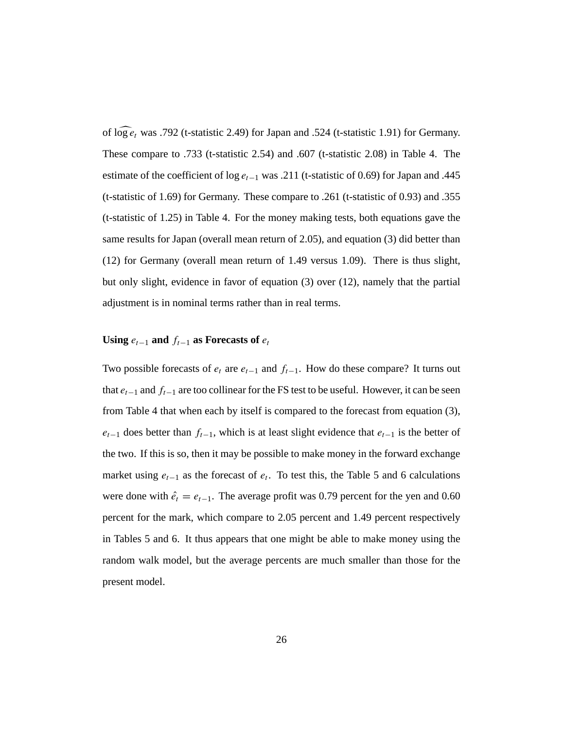of  $\log e_t$  was .792 (t-statistic 2.49) for Japan and .524 (t-statistic 1.91) for Germany. These compare to .733 (t-statistic 2.54) and .607 (t-statistic 2.08) in Table 4. The estimate of the coefficient of log *et*−<sup>1</sup> was .211 (t-statistic of 0.69) for Japan and .445 (t-statistic of 1.69) for Germany. These compare to .261 (t-statistic of 0.93) and .355 (t-statistic of 1.25) in Table 4. For the money making tests, both equations gave the same results for Japan (overall mean return of 2.05), and equation (3) did better than (12) for Germany (overall mean return of 1.49 versus 1.09). There is thus slight, but only slight, evidence in favor of equation (3) over (12), namely that the partial adjustment is in nominal terms rather than in real terms.

### **Using**  $e_{t-1}$  **and**  $f_{t-1}$  **as Forecasts of**  $e_t$

Two possible forecasts of  $e_t$  are  $e_{t-1}$  and  $f_{t-1}$ . How do these compare? It turns out that *et*−<sup>1</sup> and *ft*−<sup>1</sup> are too collinear for the FS test to be useful. However, it can be seen from Table 4 that when each by itself is compared to the forecast from equation (3),  $e_{t-1}$  does better than  $f_{t-1}$ , which is at least slight evidence that  $e_{t-1}$  is the better of the two. If this is so, then it may be possible to make money in the forward exchange market using  $e_{t-1}$  as the forecast of  $e_t$ . To test this, the Table 5 and 6 calculations were done with  $\hat{e}_t = e_{t-1}$ . The average profit was 0.79 percent for the yen and 0.60 percent for the mark, which compare to 2.05 percent and 1.49 percent respectively in Tables 5 and 6. It thus appears that one might be able to make money using the random walk model, but the average percents are much smaller than those for the present model.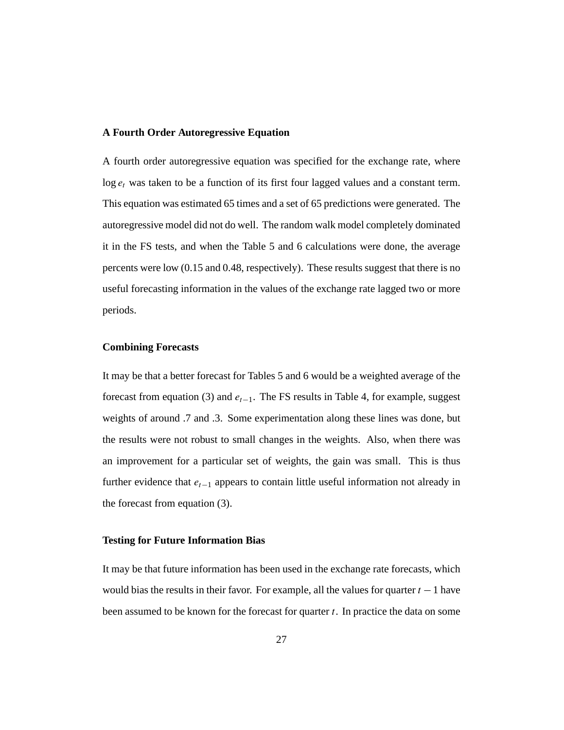#### **A Fourth Order Autoregressive Equation**

A fourth order autoregressive equation was specified for the exchange rate, where  $\log e_t$  was taken to be a function of its first four lagged values and a constant term. This equation was estimated 65 times and a set of 65 predictions were generated. The autoregressive model did not do well. The random walk model completely dominated it in the FS tests, and when the Table 5 and 6 calculations were done, the average percents were low (0.15 and 0.48, respectively). These results suggest that there is no useful forecasting information in the values of the exchange rate lagged two or more periods.

### **Combining Forecasts**

It may be that a better forecast for Tables 5 and 6 would be a weighted average of the forecast from equation (3) and *et*−1. The FS results in Table 4, for example, suggest weights of around .7 and .3. Some experimentation along these lines was done, but the results were not robust to small changes in the weights. Also, when there was an improvement for a particular set of weights, the gain was small. This is thus further evidence that *et*−<sup>1</sup> appears to contain little useful information not already in the forecast from equation (3).

#### **Testing for Future Information Bias**

It may be that future information has been used in the exchange rate forecasts, which would bias the results in their favor. For example, all the values for quarter *t* −1 have been assumed to be known for the forecast for quarter *t*. In practice the data on some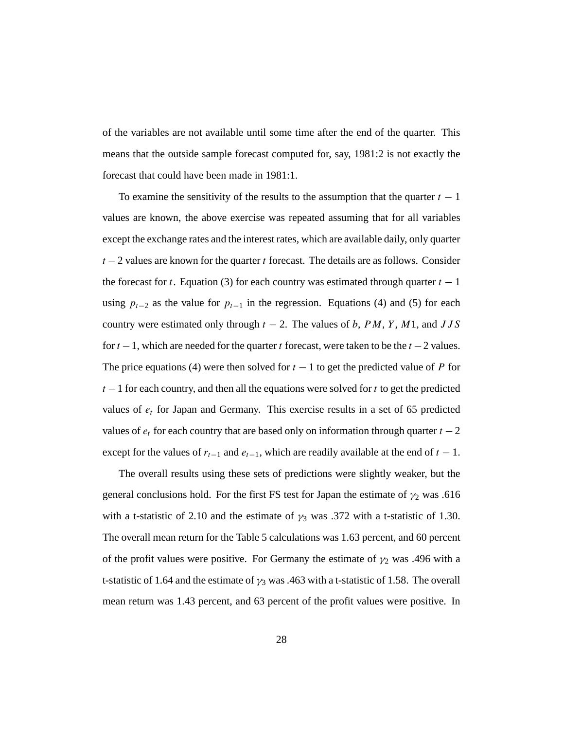of the variables are not available until some time after the end of the quarter. This means that the outside sample forecast computed for, say, 1981:2 is not exactly the forecast that could have been made in 1981:1.

To examine the sensitivity of the results to the assumption that the quarter  $t - 1$ values are known, the above exercise was repeated assuming that for all variables except the exchange rates and the interest rates, which are available daily, only quarter *t* −2 values are known for the quarter *t* forecast. The details are as follows. Consider the forecast for *t*. Equation (3) for each country was estimated through quarter  $t - 1$ using  $p_{t-2}$  as the value for  $p_{t-1}$  in the regression. Equations (4) and (5) for each country were estimated only through  $t - 2$ . The values of *b*, *PM*, *Y*, *M*1, and *JJS* for *t* −1, which are needed for the quarter *t* forecast, were taken to be the *t* −2 values. The price equations (4) were then solved for  $t - 1$  to get the predicted value of *P* for *t* − 1 for each country, and then all the equations were solved for *t* to get the predicted values of *et* for Japan and Germany. This exercise results in a set of 65 predicted values of  $e_t$  for each country that are based only on information through quarter  $t - 2$ except for the values of  $r_{t-1}$  and  $e_{t-1}$ , which are readily available at the end of  $t-1$ .

The overall results using these sets of predictions were slightly weaker, but the general conclusions hold. For the first FS test for Japan the estimate of  $\gamma_2$  was .616 with a t-statistic of 2.10 and the estimate of  $\gamma_3$  was .372 with a t-statistic of 1.30. The overall mean return for the Table 5 calculations was 1.63 percent, and 60 percent of the profit values were positive. For Germany the estimate of  $\gamma_2$  was .496 with a t-statistic of 1.64 and the estimate of  $\gamma_3$  was .463 with a t-statistic of 1.58. The overall mean return was 1.43 percent, and 63 percent of the profit values were positive. In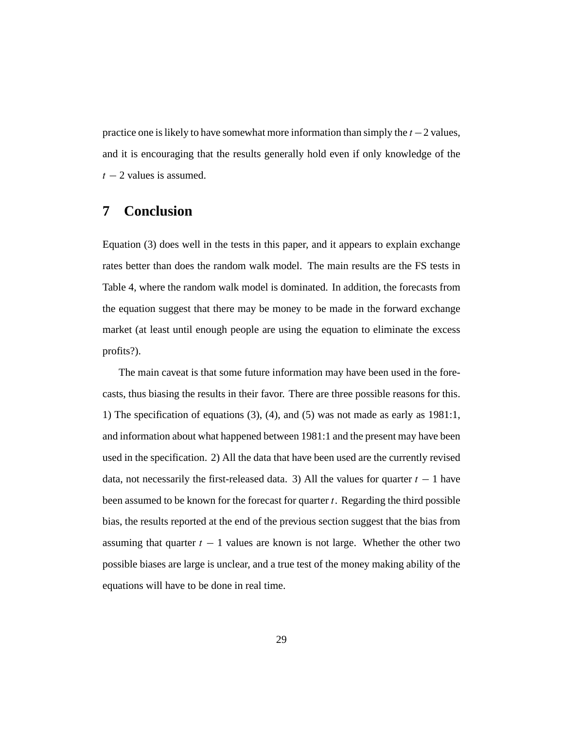practice one is likely to have somewhat more information than simply the *t* −2 values, and it is encouraging that the results generally hold even if only knowledge of the  $t - 2$  values is assumed.

# **7 Conclusion**

Equation (3) does well in the tests in this paper, and it appears to explain exchange rates better than does the random walk model. The main results are the FS tests in Table 4, where the random walk model is dominated. In addition, the forecasts from the equation suggest that there may be money to be made in the forward exchange market (at least until enough people are using the equation to eliminate the excess profits?).

The main caveat is that some future information may have been used in the forecasts, thus biasing the results in their favor. There are three possible reasons for this. 1) The specification of equations (3), (4), and (5) was not made as early as 1981:1, and information about what happened between 1981:1 and the present may have been used in the specification. 2) All the data that have been used are the currently revised data, not necessarily the first-released data. 3) All the values for quarter  $t - 1$  have been assumed to be known for the forecast for quarter *t*. Regarding the third possible bias, the results reported at the end of the previous section suggest that the bias from assuming that quarter  $t - 1$  values are known is not large. Whether the other two possible biases are large is unclear, and a true test of the money making ability of the equations will have to be done in real time.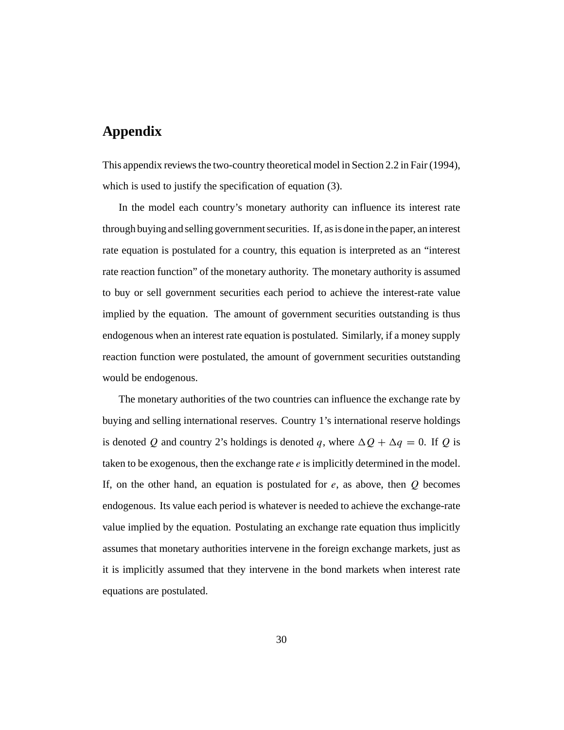# **Appendix**

This appendix reviews the two-country theoretical model in Section 2.2 in Fair (1994), which is used to justify the specification of equation (3).

In the model each country's monetary authority can influence its interest rate through buying and selling government securities. If, as is done in the paper, an interest rate equation is postulated for a country, this equation is interpreted as an "interest rate reaction function" of the monetary authority. The monetary authority is assumed to buy or sell government securities each period to achieve the interest-rate value implied by the equation. The amount of government securities outstanding is thus endogenous when an interest rate equation is postulated. Similarly, if a money supply reaction function were postulated, the amount of government securities outstanding would be endogenous.

The monetary authorities of the two countries can influence the exchange rate by buying and selling international reserves. Country 1's international reserve holdings is denoted *Q* and country 2's holdings is denoted *q*, where  $\Delta Q + \Delta q = 0$ . If *Q* is taken to be exogenous, then the exchange rate *e* is implicitly determined in the model. If, on the other hand, an equation is postulated for *e*, as above, then *Q* becomes endogenous. Its value each period is whatever is needed to achieve the exchange-rate value implied by the equation. Postulating an exchange rate equation thus implicitly assumes that monetary authorities intervene in the foreign exchange markets, just as it is implicitly assumed that they intervene in the bond markets when interest rate equations are postulated.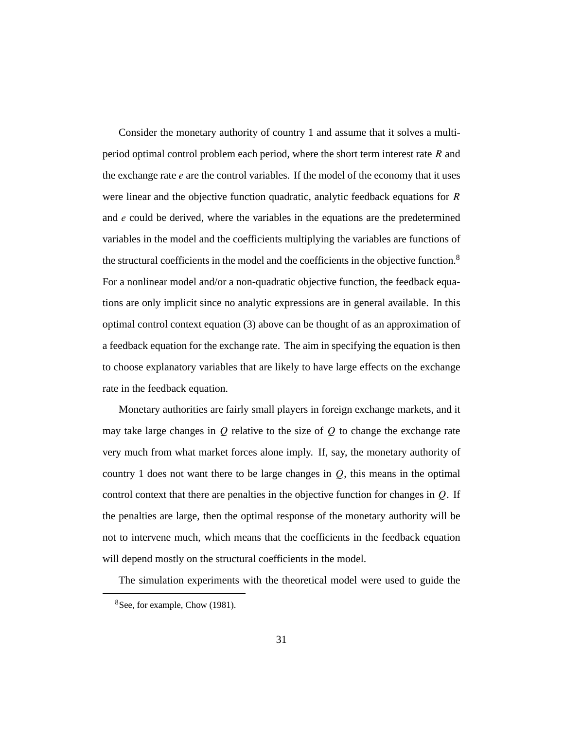Consider the monetary authority of country 1 and assume that it solves a multiperiod optimal control problem each period, where the short term interest rate *R* and the exchange rate *e* are the control variables. If the model of the economy that it uses were linear and the objective function quadratic, analytic feedback equations for *R* and *e* could be derived, where the variables in the equations are the predetermined variables in the model and the coefficients multiplying the variables are functions of the structural coefficients in the model and the coefficients in the objective function.8 For a nonlinear model and/or a non-quadratic objective function, the feedback equations are only implicit since no analytic expressions are in general available. In this optimal control context equation (3) above can be thought of as an approximation of a feedback equation for the exchange rate. The aim in specifying the equation is then to choose explanatory variables that are likely to have large effects on the exchange rate in the feedback equation.

Monetary authorities are fairly small players in foreign exchange markets, and it may take large changes in *Q* relative to the size of *Q* to change the exchange rate very much from what market forces alone imply. If, say, the monetary authority of country 1 does not want there to be large changes in *Q*, this means in the optimal control context that there are penalties in the objective function for changes in *Q*. If the penalties are large, then the optimal response of the monetary authority will be not to intervene much, which means that the coefficients in the feedback equation will depend mostly on the structural coefficients in the model.

The simulation experiments with the theoretical model were used to guide the

<sup>8</sup>See, for example, Chow (1981).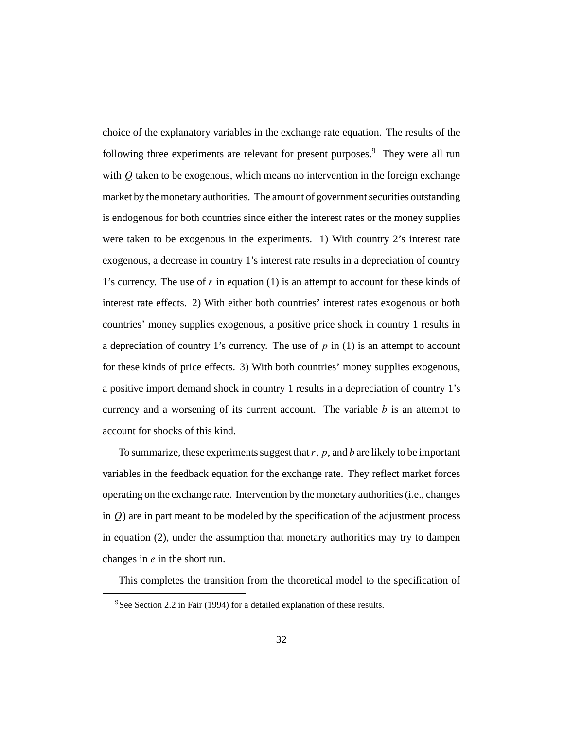choice of the explanatory variables in the exchange rate equation. The results of the following three experiments are relevant for present purposes. $9$  They were all run with *Q* taken to be exogenous, which means no intervention in the foreign exchange market by the monetary authorities. The amount of government securities outstanding is endogenous for both countries since either the interest rates or the money supplies were taken to be exogenous in the experiments. 1) With country 2's interest rate exogenous, a decrease in country 1's interest rate results in a depreciation of country 1's currency. The use of *r* in equation (1) is an attempt to account for these kinds of interest rate effects. 2) With either both countries' interest rates exogenous or both countries' money supplies exogenous, a positive price shock in country 1 results in a depreciation of country 1's currency. The use of *p* in (1) is an attempt to account for these kinds of price effects. 3) With both countries' money supplies exogenous, a positive import demand shock in country 1 results in a depreciation of country 1's currency and a worsening of its current account. The variable *b* is an attempt to account for shocks of this kind.

To summarize, these experiments suggest that*r*, *p*, and *b* are likely to be important variables in the feedback equation for the exchange rate. They reflect market forces operating on the exchange rate. Intervention by the monetary authorities (i.e., changes in *Q*) are in part meant to be modeled by the specification of the adjustment process in equation (2), under the assumption that monetary authorities may try to dampen changes in *e* in the short run.

This completes the transition from the theoretical model to the specification of

<sup>&</sup>lt;sup>9</sup>See Section 2.2 in Fair (1994) for a detailed explanation of these results.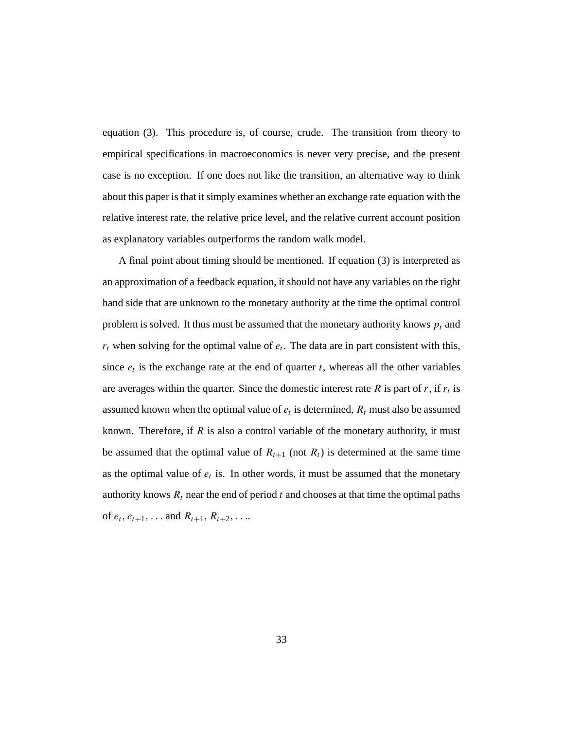equation (3). This procedure is, of course, crude. The transition from theory to empirical specifications in macroeconomics is never very precise, and the present case is no exception. If one does not like the transition, an alternative way to think about this paper is that it simply examines whether an exchange rate equation with the relative interest rate, the relative price level, and the relative current account position as explanatory variables outperforms the random walk model.

A final point about timing should be mentioned. If equation (3) is interpreted as an approximation of a feedback equation, it should not have any variables on the right hand side that are unknown to the monetary authority at the time the optimal control problem is solved. It thus must be assumed that the monetary authority knows  $p_t$  and  $r_t$  when solving for the optimal value of  $e_t$ . The data are in part consistent with this, since  $e_t$  is the exchange rate at the end of quarter  $t$ , whereas all the other variables are averages within the quarter. Since the domestic interest rate  $R$  is part of  $r$ , if  $r_t$  is assumed known when the optimal value of  $e_t$  is determined,  $R_t$  must also be assumed known. Therefore, if *R* is also a control variable of the monetary authority, it must be assumed that the optimal value of  $R_{t+1}$  (not  $R_t$ ) is determined at the same time as the optimal value of  $e_t$  is. In other words, it must be assumed that the monetary authority knows  $R_t$  near the end of period  $t$  and chooses at that time the optimal paths of  $e_t$ *,*  $e_{t+1}$ *,...* and  $R_{t+1}$ *,*  $R_{t+2}$ *,....*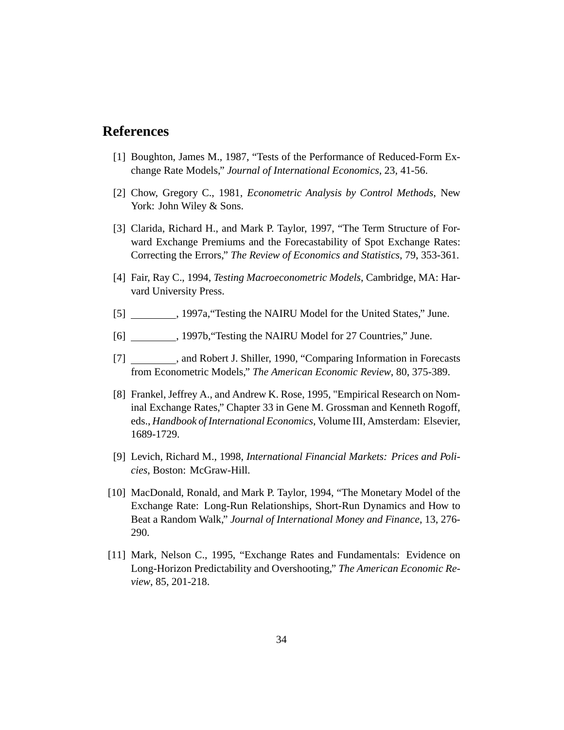### **References**

- [1] Boughton, James M., 1987, "Tests of the Performance of Reduced-Form Exchange Rate Models," *Journal of International Economics*, 23, 41-56.
- [2] Chow, Gregory C., 1981, *Econometric Analysis by Control Methods*, New York: John Wiley & Sons.
- [3] Clarida, Richard H., and Mark P. Taylor, 1997, "The Term Structure of Forward Exchange Premiums and the Forecastability of Spot Exchange Rates: Correcting the Errors," *The Review of Economics and Statistics*, 79, 353-361.
- [4] Fair, Ray C., 1994, *Testing Macroeconometric Models*, Cambridge, MA: Harvard University Press.
- [5] 1997a, "Testing the NAIRU Model for the United States," June.
- [6] , 1997b,"Testing the NAIRU Model for 27 Countries," June.
- [7]  $\qquad \qquad$ , and Robert J. Shiller, 1990, "Comparing Information in Forecasts from Econometric Models," *The American Economic Review*, 80, 375-389.
- [8] Frankel, Jeffrey A., and Andrew K. Rose, 1995, "Empirical Research on Nominal Exchange Rates," Chapter 33 in Gene M. Grossman and Kenneth Rogoff, eds., *Handbook of International Economics*, Volume III, Amsterdam: Elsevier, 1689-1729.
- [9] Levich, Richard M., 1998, *International Financial Markets: Prices and Policies*, Boston: McGraw-Hill.
- [10] MacDonald, Ronald, and Mark P. Taylor, 1994, "The Monetary Model of the Exchange Rate: Long-Run Relationships, Short-Run Dynamics and How to Beat a Random Walk," *Journal of International Money and Finance*, 13, 276- 290.
- [11] Mark, Nelson C., 1995, "Exchange Rates and Fundamentals: Evidence on Long-Horizon Predictability and Overshooting," *The American Economic Review*, 85, 201-218.